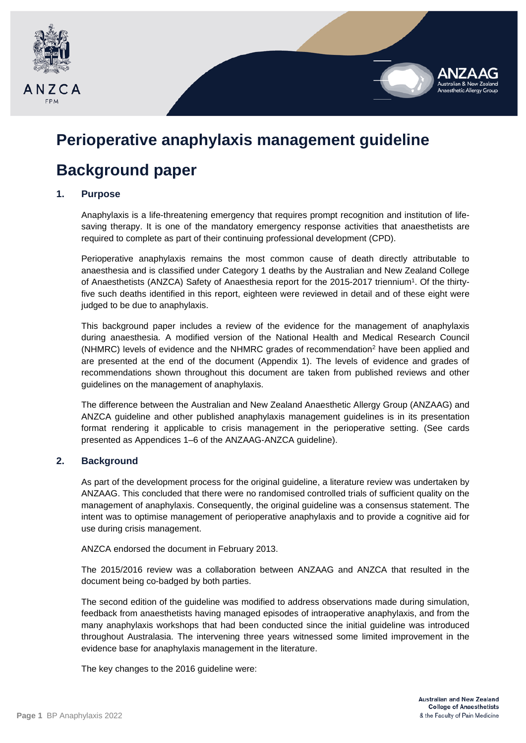

# **Perioperative anaphylaxis management guideline**

# **Background paper**

## **1. Purpose**

Anaphylaxis is a life-threatening emergency that requires prompt recognition and institution of lifesaving therapy. It is one of the mandatory emergency response activities that anaesthetists are required to complete as part of their continuing professional development (CPD).

Perioperative anaphylaxis remains the most common cause of death directly attributable to anaesthesia and is classified under Category 1 deaths by the Australian and New Zealand College of Anaesthetists (ANZCA) Safety of Anaesthesia report for the 2015-2017 triennium1. Of the thirtyfive such deaths identified in this report, eighteen were reviewed in detail and of these eight were judged to be due to anaphylaxis.

This background paper includes a review of the evidence for the management of anaphylaxis during anaesthesia. A modified version of the National Health and Medical Research Council ( $NHMRC$ ) levels of evidence and the  $NHMRC$  grades of recommendation<sup>2</sup> have been applied and are presented at the end of the document (Appendix 1). The levels of evidence and grades of recommendations shown throughout this document are taken from published reviews and other guidelines on the management of anaphylaxis.

The difference between the Australian and New Zealand Anaesthetic Allergy Group (ANZAAG) and ANZCA guideline and other published anaphylaxis management guidelines is in its presentation format rendering it applicable to crisis management in the perioperative setting. (See cards presented as Appendices 1–6 of the ANZAAG-ANZCA guideline).

## **2. Background**

As part of the development process for the original guideline, a literature review was undertaken by ANZAAG. This concluded that there were no randomised controlled trials of sufficient quality on the management of anaphylaxis. Consequently, the original guideline was a consensus statement. The intent was to optimise management of perioperative anaphylaxis and to provide a cognitive aid for use during crisis management.

ANZCA endorsed the document in February 2013.

The 2015/2016 review was a collaboration between ANZAAG and ANZCA that resulted in the document being co-badged by both parties.

The second edition of the guideline was modified to address observations made during simulation, feedback from anaesthetists having managed episodes of intraoperative anaphylaxis, and from the many anaphylaxis workshops that had been conducted since the initial guideline was introduced throughout Australasia. The intervening three years witnessed some limited improvement in the evidence base for anaphylaxis management in the literature.

The key changes to the 2016 guideline were: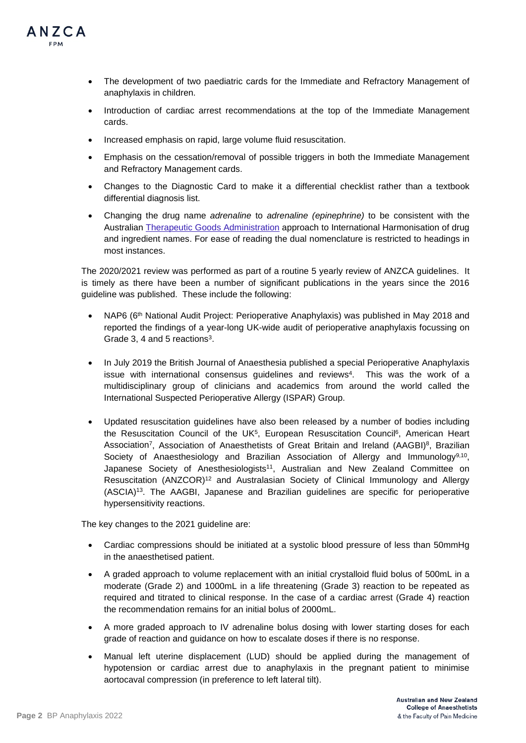

- The development of two paediatric cards for the Immediate and Refractory Management of anaphylaxis in children.
- Introduction of cardiac arrest recommendations at the top of the Immediate Management cards.
- Increased emphasis on rapid, large volume fluid resuscitation.
- Emphasis on the cessation/removal of possible triggers in both the Immediate Management and Refractory Management cards.
- Changes to the Diagnostic Card to make it a differential checklist rather than a textbook differential diagnosis list.
- Changing the drug name *adrenaline* to *adrenaline (epinephrine)* to be consistent with the Australian [Therapeutic Goods Administration](https://www.tga.gov.au/updating-medicine-ingredient-names-list-affected-ingredients) approach to International Harmonisation of drug and ingredient names. For ease of reading the dual nomenclature is restricted to headings in most instances.

The 2020/2021 review was performed as part of a routine 5 yearly review of ANZCA guidelines. It is timely as there have been a number of significant publications in the years since the 2016 guideline was published. These include the following:

- NAP6 (6<sup>th</sup> National Audit Project: Perioperative Anaphylaxis) was published in May 2018 and reported the findings of a year-long UK-wide audit of perioperative anaphylaxis focussing on Grade 3, 4 and 5 reactions<sup>3</sup>.
- In July 2019 the British Journal of Anaesthesia published a special Perioperative Anaphylaxis issue with international consensus quidelines and reviews<sup>4</sup>. This was the work of a multidisciplinary group of clinicians and academics from around the world called the International Suspected Perioperative Allergy (ISPAR) Group.
- Updated resuscitation guidelines have also been released by a number of bodies including the Resuscitation Council of the UK<sup>5</sup>, European Resuscitation Council<sup>6</sup>, American Heart Association<sup>7</sup>, Association of Anaesthetists of Great Britain and Ireland (AAGBI)<sup>8</sup>, Brazilian Society of Anaesthesiology and Brazilian Association of Allergy and Immunology<sup>9,10</sup>, Japanese Society of Anesthesiologists<sup>11</sup>, Australian and New Zealand Committee on Resuscitation (ANZCOR)12 and Australasian Society of Clinical Immunology and Allergy (ASCIA)13. The AAGBI, Japanese and Brazilian guidelines are specific for perioperative hypersensitivity reactions.

The key changes to the 2021 guideline are:

- Cardiac compressions should be initiated at a systolic blood pressure of less than 50mmHg in the anaesthetised patient.
- A graded approach to volume replacement with an initial crystalloid fluid bolus of 500mL in a moderate (Grade 2) and 1000mL in a life threatening (Grade 3) reaction to be repeated as required and titrated to clinical response. In the case of a cardiac arrest (Grade 4) reaction the recommendation remains for an initial bolus of 2000mL.
- A more graded approach to IV adrenaline bolus dosing with lower starting doses for each grade of reaction and guidance on how to escalate doses if there is no response.
- Manual left uterine displacement (LUD) should be applied during the management of hypotension or cardiac arrest due to anaphylaxis in the pregnant patient to minimise aortocaval compression (in preference to left lateral tilt).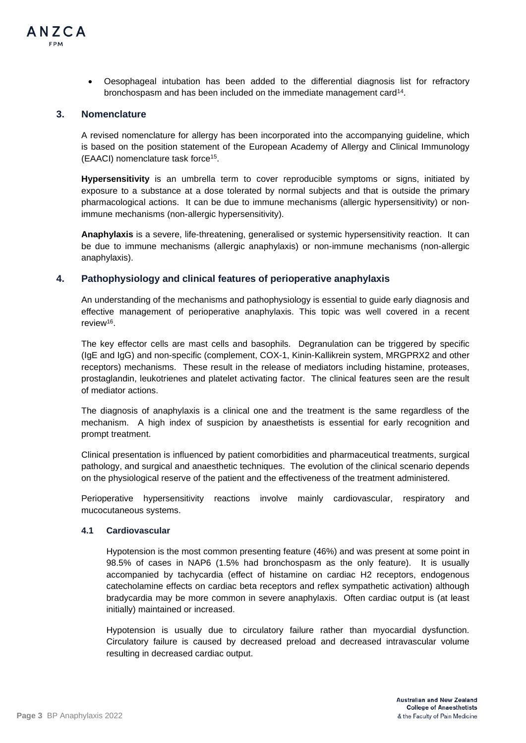

• Oesophageal intubation has been added to the differential diagnosis list for refractory bronchospasm and has been included on the immediate management card14.

## **3. Nomenclature**

A revised nomenclature for allergy has been incorporated into the accompanying guideline, which is based on the position statement of the European Academy of Allergy and Clinical Immunology (EAACI) nomenclature task force15.

**Hypersensitivity** is an umbrella term to cover reproducible symptoms or signs, initiated by exposure to a substance at a dose tolerated by normal subjects and that is outside the primary pharmacological actions. It can be due to immune mechanisms (allergic hypersensitivity) or nonimmune mechanisms (non-allergic hypersensitivity).

**Anaphylaxis** is a severe, life-threatening, generalised or systemic hypersensitivity reaction. It can be due to immune mechanisms (allergic anaphylaxis) or non-immune mechanisms (non-allergic anaphylaxis).

## **4. Pathophysiology and clinical features of perioperative anaphylaxis**

An understanding of the mechanisms and pathophysiology is essential to guide early diagnosis and effective management of perioperative anaphylaxis. This topic was well covered in a recent review16.

The key effector cells are mast cells and basophils. Degranulation can be triggered by specific (IgE and IgG) and non-specific (complement, COX-1, Kinin-Kallikrein system, MRGPRX2 and other receptors) mechanisms. These result in the release of mediators including histamine, proteases, prostaglandin, leukotrienes and platelet activating factor. The clinical features seen are the result of mediator actions.

The diagnosis of anaphylaxis is a clinical one and the treatment is the same regardless of the mechanism. A high index of suspicion by anaesthetists is essential for early recognition and prompt treatment.

Clinical presentation is influenced by patient comorbidities and pharmaceutical treatments, surgical pathology, and surgical and anaesthetic techniques. The evolution of the clinical scenario depends on the physiological reserve of the patient and the effectiveness of the treatment administered.

Perioperative hypersensitivity reactions involve mainly cardiovascular, respiratory and mucocutaneous systems.

### **4.1 Cardiovascular**

Hypotension is the most common presenting feature (46%) and was present at some point in 98.5% of cases in NAP6 (1.5% had bronchospasm as the only feature). It is usually accompanied by tachycardia (effect of histamine on cardiac H2 receptors, endogenous catecholamine effects on cardiac beta receptors and reflex sympathetic activation) although bradycardia may be more common in severe anaphylaxis. Often cardiac output is (at least initially) maintained or increased.

Hypotension is usually due to circulatory failure rather than myocardial dysfunction. Circulatory failure is caused by decreased preload and decreased intravascular volume resulting in decreased cardiac output.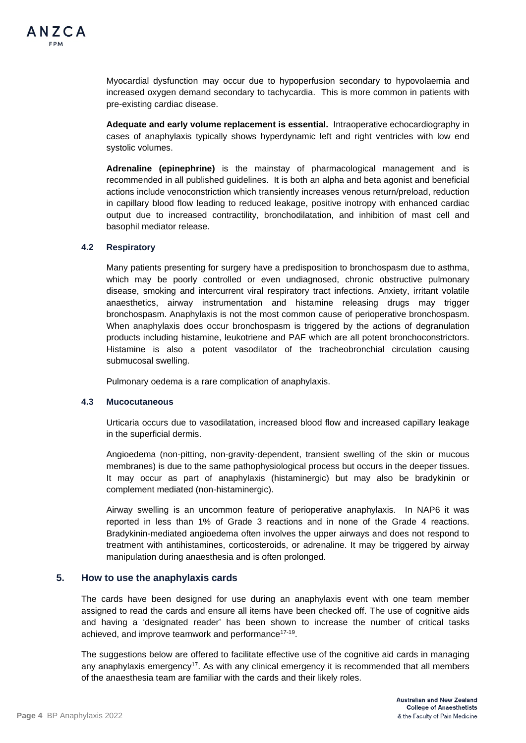

Myocardial dysfunction may occur due to hypoperfusion secondary to hypovolaemia and increased oxygen demand secondary to tachycardia. This is more common in patients with pre-existing cardiac disease.

**Adequate and early volume replacement is essential.** Intraoperative echocardiography in cases of anaphylaxis typically shows hyperdynamic left and right ventricles with low end systolic volumes.

**Adrenaline (epinephrine)** is the mainstay of pharmacological management and is recommended in all published guidelines. It is both an alpha and beta agonist and beneficial actions include venoconstriction which transiently increases venous return/preload, reduction in capillary blood flow leading to reduced leakage, positive inotropy with enhanced cardiac output due to increased contractility, bronchodilatation, and inhibition of mast cell and basophil mediator release.

### **4.2 Respiratory**

Many patients presenting for surgery have a predisposition to bronchospasm due to asthma, which may be poorly controlled or even undiagnosed, chronic obstructive pulmonary disease, smoking and intercurrent viral respiratory tract infections. Anxiety, irritant volatile anaesthetics, airway instrumentation and histamine releasing drugs may trigger bronchospasm. Anaphylaxis is not the most common cause of perioperative bronchospasm. When anaphylaxis does occur bronchospasm is triggered by the actions of degranulation products including histamine, leukotriene and PAF which are all potent bronchoconstrictors. Histamine is also a potent vasodilator of the tracheobronchial circulation causing submucosal swelling.

Pulmonary oedema is a rare complication of anaphylaxis.

## **4.3 Mucocutaneous**

Urticaria occurs due to vasodilatation, increased blood flow and increased capillary leakage in the superficial dermis.

Angioedema (non-pitting, non-gravity-dependent, transient swelling of the skin or mucous membranes) is due to the same pathophysiological process but occurs in the deeper tissues. It may occur as part of anaphylaxis (histaminergic) but may also be bradykinin or complement mediated (non-histaminergic).

Airway swelling is an uncommon feature of perioperative anaphylaxis. In NAP6 it was reported in less than 1% of Grade 3 reactions and in none of the Grade 4 reactions. Bradykinin-mediated angioedema often involves the upper airways and does not respond to treatment with antihistamines, corticosteroids, or adrenaline. It may be triggered by airway manipulation during anaesthesia and is often prolonged.

## **5. How to use the anaphylaxis cards**

The cards have been designed for use during an anaphylaxis event with one team member assigned to read the cards and ensure all items have been checked off. The use of cognitive aids and having a 'designated reader' has been shown to increase the number of critical tasks achieved, and improve teamwork and performance<sup>17-19</sup>.

The suggestions below are offered to facilitate effective use of the cognitive aid cards in managing any anaphylaxis emergency<sup>17</sup>. As with any clinical emergency it is recommended that all members of the anaesthesia team are familiar with the cards and their likely roles.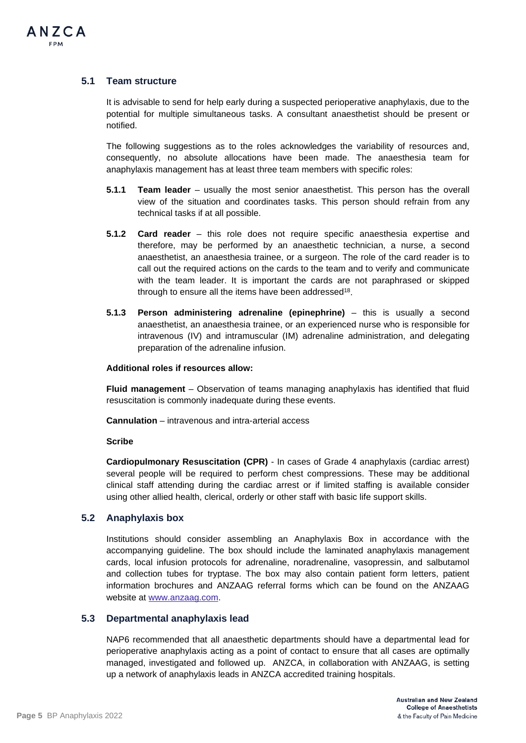

## **5.1 Team structure**

It is advisable to send for help early during a suspected perioperative anaphylaxis, due to the potential for multiple simultaneous tasks. A consultant anaesthetist should be present or notified.

The following suggestions as to the roles acknowledges the variability of resources and, consequently, no absolute allocations have been made. The anaesthesia team for anaphylaxis management has at least three team members with specific roles:

- **5.1.1 Team leader** usually the most senior anaesthetist. This person has the overall view of the situation and coordinates tasks. This person should refrain from any technical tasks if at all possible.
- **5.1.2 Card reader**  this role does not require specific anaesthesia expertise and therefore, may be performed by an anaesthetic technician, a nurse, a second anaesthetist, an anaesthesia trainee, or a surgeon. The role of the card reader is to call out the required actions on the cards to the team and to verify and communicate with the team leader. It is important the cards are not paraphrased or skipped through to ensure all the items have been addressed<sup>18</sup>.
- **5.1.3 Person administering adrenaline (epinephrine)**  this is usually a second anaesthetist, an anaesthesia trainee, or an experienced nurse who is responsible for intravenous (IV) and intramuscular (IM) adrenaline administration, and delegating preparation of the adrenaline infusion.

### **Additional roles if resources allow:**

**Fluid management** – Observation of teams managing anaphylaxis has identified that fluid resuscitation is commonly inadequate during these events.

**Cannulation** – intravenous and intra-arterial access

### **Scribe**

**Cardiopulmonary Resuscitation (CPR)** - In cases of Grade 4 anaphylaxis (cardiac arrest) several people will be required to perform chest compressions. These may be additional clinical staff attending during the cardiac arrest or if limited staffing is available consider using other allied health, clerical, orderly or other staff with basic life support skills.

## **5.2 Anaphylaxis box**

Institutions should consider assembling an Anaphylaxis Box in accordance with the accompanying guideline. The box should include the laminated anaphylaxis management cards, local infusion protocols for adrenaline, noradrenaline, vasopressin, and salbutamol and collection tubes for tryptase. The box may also contain patient form letters, patient information brochures and ANZAAG referral forms which can be found on the ANZAAG website at [www.anzaag.com.](http://www.anzaag.com/)

## **5.3 Departmental anaphylaxis lead**

NAP6 recommended that all anaesthetic departments should have a departmental lead for perioperative anaphylaxis acting as a point of contact to ensure that all cases are optimally managed, investigated and followed up. ANZCA, in collaboration with ANZAAG, is setting up a network of anaphylaxis leads in ANZCA accredited training hospitals.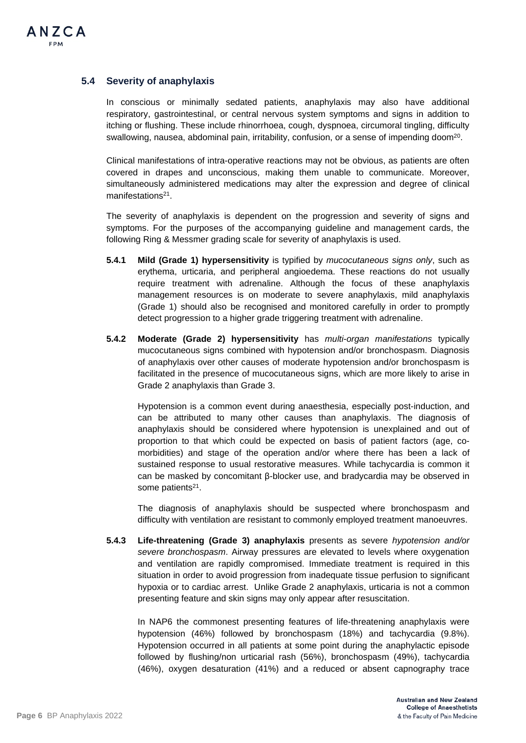## **5.4 Severity of anaphylaxis**

In conscious or minimally sedated patients, anaphylaxis may also have additional respiratory, gastrointestinal, or central nervous system symptoms and signs in addition to itching or flushing. These include rhinorrhoea, cough, dyspnoea, circumoral tingling, difficulty swallowing, nausea, abdominal pain, irritability, confusion, or a sense of impending doom<sup>20</sup>.

Clinical manifestations of intra-operative reactions may not be obvious, as patients are often covered in drapes and unconscious, making them unable to communicate. Moreover, simultaneously administered medications may alter the expression and degree of clinical manifestations<sup>21</sup>.

The severity of anaphylaxis is dependent on the progression and severity of signs and symptoms. For the purposes of the accompanying guideline and management cards, the following Ring & Messmer grading scale for severity of anaphylaxis is used.

- **5.4.1 Mild (Grade 1) hypersensitivity** is typified by *mucocutaneous signs only*, such as erythema, urticaria, and peripheral angioedema. These reactions do not usually require treatment with adrenaline. Although the focus of these anaphylaxis management resources is on moderate to severe anaphylaxis, mild anaphylaxis (Grade 1) should also be recognised and monitored carefully in order to promptly detect progression to a higher grade triggering treatment with adrenaline.
- **5.4.2 Moderate (Grade 2) hypersensitivity** has *multi-organ manifestations* typically mucocutaneous signs combined with hypotension and/or bronchospasm. Diagnosis of anaphylaxis over other causes of moderate hypotension and/or bronchospasm is facilitated in the presence of mucocutaneous signs, which are more likely to arise in Grade 2 anaphylaxis than Grade 3.

Hypotension is a common event during anaesthesia, especially post-induction, and can be attributed to many other causes than anaphylaxis. The diagnosis of anaphylaxis should be considered where hypotension is unexplained and out of proportion to that which could be expected on basis of patient factors (age, comorbidities) and stage of the operation and/or where there has been a lack of sustained response to usual restorative measures. While tachycardia is common it can be masked by concomitant β-blocker use, and bradycardia may be observed in some patients<sup>21</sup>.

The diagnosis of anaphylaxis should be suspected where bronchospasm and difficulty with ventilation are resistant to commonly employed treatment manoeuvres.

**5.4.3 Life-threatening (Grade 3) anaphylaxis** presents as severe *hypotension and/or severe bronchospasm*. Airway pressures are elevated to levels where oxygenation and ventilation are rapidly compromised. Immediate treatment is required in this situation in order to avoid progression from inadequate tissue perfusion to significant hypoxia or to cardiac arrest. Unlike Grade 2 anaphylaxis, urticaria is not a common presenting feature and skin signs may only appear after resuscitation.

In NAP6 the commonest presenting features of life-threatening anaphylaxis were hypotension (46%) followed by bronchospasm (18%) and tachycardia (9.8%). Hypotension occurred in all patients at some point during the anaphylactic episode followed by flushing/non urticarial rash (56%), bronchospasm (49%), tachycardia (46%), oxygen desaturation (41%) and a reduced or absent capnography trace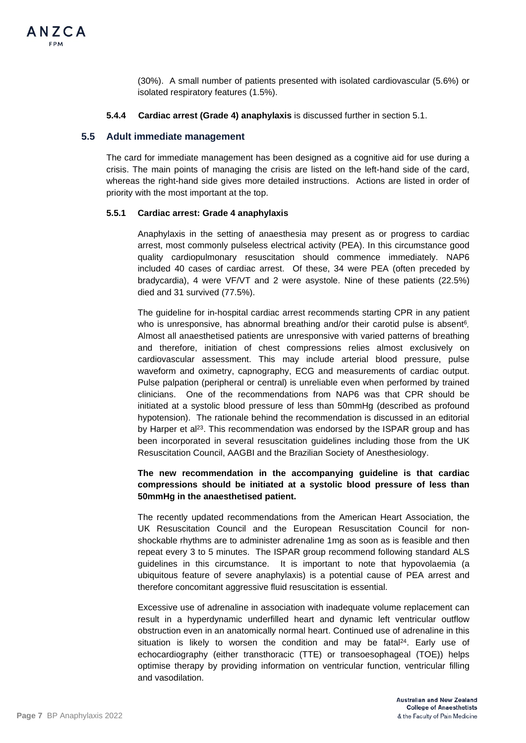(30%). A small number of patients presented with isolated cardiovascular (5.6%) or isolated respiratory features (1.5%).

### **5.4.4 Cardiac arrest (Grade 4) anaphylaxis** is discussed further in section 5.1.

## **5.5 Adult immediate management**

The card for immediate management has been designed as a cognitive aid for use during a crisis. The main points of managing the crisis are listed on the left-hand side of the card, whereas the right-hand side gives more detailed instructions. Actions are listed in order of priority with the most important at the top.

### **5.5.1 Cardiac arrest: Grade 4 anaphylaxis**

Anaphylaxis in the setting of anaesthesia may present as or progress to cardiac arrest, most commonly pulseless electrical activity (PEA). In this circumstance good quality cardiopulmonary resuscitation should commence immediately. NAP6 included 40 cases of cardiac arrest. Of these, 34 were PEA (often preceded by bradycardia), 4 were VF/VT and 2 were asystole. Nine of these patients (22.5%) died and 31 survived (77.5%).

The guideline for in-hospital cardiac arrest recommends starting CPR in any patient who is unresponsive, has abnormal breathing and/or their carotid pulse is absent<sup>6</sup>. Almost all anaesthetised patients are unresponsive with varied patterns of breathing and therefore, initiation of chest compressions relies almost exclusively on cardiovascular assessment. This may include arterial blood pressure, pulse waveform and oximetry, capnography, ECG and measurements of cardiac output. Pulse palpation (peripheral or central) is unreliable even when performed by trained clinicians. One of the recommendations from NAP6 was that CPR should be initiated at a systolic blood pressure of less than 50mmHg (described as profound hypotension). The rationale behind the recommendation is discussed in an editorial by Harper et al<sup>23</sup>. This recommendation was endorsed by the ISPAR group and has been incorporated in several resuscitation guidelines including those from the UK Resuscitation Council, AAGBI and the Brazilian Society of Anesthesiology.

## **The new recommendation in the accompanying guideline is that cardiac compressions should be initiated at a systolic blood pressure of less than 50mmHg in the anaesthetised patient.**

The recently updated recommendations from the American Heart Association, the UK Resuscitation Council and the European Resuscitation Council for nonshockable rhythms are to administer adrenaline 1mg as soon as is feasible and then repeat every 3 to 5 minutes. The ISPAR group recommend following standard ALS guidelines in this circumstance. It is important to note that hypovolaemia (a ubiquitous feature of severe anaphylaxis) is a potential cause of PEA arrest and therefore concomitant aggressive fluid resuscitation is essential.

Excessive use of adrenaline in association with inadequate volume replacement can result in a hyperdynamic underfilled heart and dynamic left ventricular outflow obstruction even in an anatomically normal heart. Continued use of adrenaline in this situation is likely to worsen the condition and may be fatal $24$ . Early use of echocardiography (either transthoracic (TTE) or transoesophageal (TOE)) helps optimise therapy by providing information on ventricular function, ventricular filling and vasodilation.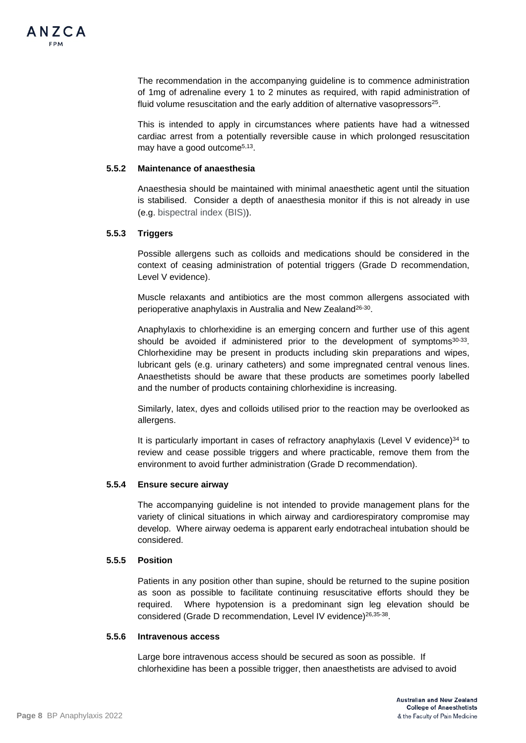

The recommendation in the accompanying guideline is to commence administration of 1mg of adrenaline every 1 to 2 minutes as required, with rapid administration of fluid volume resuscitation and the early addition of alternative vasopressors<sup>25</sup>.

This is intended to apply in circumstances where patients have had a witnessed cardiac arrest from a potentially reversible cause in which prolonged resuscitation may have a good outcome<sup>5,13</sup>.

#### **5.5.2 Maintenance of anaesthesia**

Anaesthesia should be maintained with minimal anaesthetic agent until the situation is stabilised. Consider a depth of anaesthesia monitor if this is not already in use (e.g. bispectral index (BIS)).

#### **5.5.3 Triggers**

Possible allergens such as colloids and medications should be considered in the context of ceasing administration of potential triggers (Grade D recommendation, Level V evidence).

Muscle relaxants and antibiotics are the most common allergens associated with perioperative anaphylaxis in Australia and New Zealand26-30.

Anaphylaxis to chlorhexidine is an emerging concern and further use of this agent should be avoided if administered prior to the development of symptoms $30-33$ . Chlorhexidine may be present in products including skin preparations and wipes, lubricant gels (e.g. urinary catheters) and some impregnated central venous lines. Anaesthetists should be aware that these products are sometimes poorly labelled and the number of products containing chlorhexidine is increasing.

Similarly, latex, dyes and colloids utilised prior to the reaction may be overlooked as allergens.

It is particularly important in cases of refractory anaphylaxis (Level V evidence) $34$  to review and cease possible triggers and where practicable, remove them from the environment to avoid further administration (Grade D recommendation).

#### **5.5.4 Ensure secure airway**

The accompanying guideline is not intended to provide management plans for the variety of clinical situations in which airway and cardiorespiratory compromise may develop. Where airway oedema is apparent early endotracheal intubation should be considered.

### **5.5.5 Position**

Patients in any position other than supine, should be returned to the supine position as soon as possible to facilitate continuing resuscitative efforts should they be required. Where hypotension is a predominant sign leg elevation should be considered (Grade D recommendation, Level IV evidence)<sup>26,35-38</sup>.

#### **5.5.6 Intravenous access**

Large bore intravenous access should be secured as soon as possible. If chlorhexidine has been a possible trigger, then anaesthetists are advised to avoid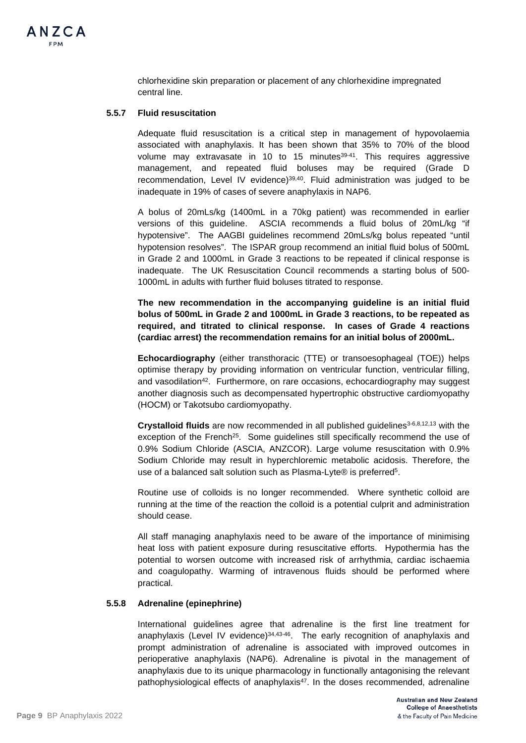

chlorhexidine skin preparation or placement of any chlorhexidine impregnated central line.

## **5.5.7 Fluid resuscitation**

Adequate fluid resuscitation is a critical step in management of hypovolaemia associated with anaphylaxis. It has been shown that 35% to 70% of the blood volume may extravasate in 10 to 15 minutes<sup>39-41</sup>. This requires aggressive management, and repeated fluid boluses may be required (Grade D recommendation, Level IV evidence)39,40. Fluid administration was judged to be inadequate in 19% of cases of severe anaphylaxis in NAP6.

A bolus of 20mLs/kg (1400mL in a 70kg patient) was recommended in earlier versions of this guideline. ASCIA recommends a fluid bolus of 20mL/kg "if hypotensive". The AAGBI guidelines recommend 20mLs/kg bolus repeated "until hypotension resolves". The ISPAR group recommend an initial fluid bolus of 500mL in Grade 2 and 1000mL in Grade 3 reactions to be repeated if clinical response is inadequate. The UK Resuscitation Council recommends a starting bolus of 500- 1000mL in adults with further fluid boluses titrated to response.

**The new recommendation in the accompanying guideline is an initial fluid bolus of 500mL in Grade 2 and 1000mL in Grade 3 reactions, to be repeated as required, and titrated to clinical response. In cases of Grade 4 reactions (cardiac arrest) the recommendation remains for an initial bolus of 2000mL.** 

**Echocardiography** (either transthoracic (TTE) or transoesophageal (TOE)) helps optimise therapy by providing information on ventricular function, ventricular filling, and vasodilation<sup>42</sup>. Furthermore, on rare occasions, echocardiography may suggest another diagnosis such as decompensated hypertrophic obstructive cardiomyopathy (HOCM) or Takotsubo cardiomyopathy.

**Crystalloid fluids** are now recommended in all published guidelines3-6,8,12,13 with the exception of the French<sup>25</sup>. Some guidelines still specifically recommend the use of 0.9% Sodium Chloride (ASCIA, ANZCOR). Large volume resuscitation with 0.9% Sodium Chloride may result in hyperchloremic metabolic acidosis. Therefore, the use of a balanced salt solution such as Plasma-Lyte® is preferred<sup>5</sup>.

Routine use of colloids is no longer recommended. Where synthetic colloid are running at the time of the reaction the colloid is a potential culprit and administration should cease.

All staff managing anaphylaxis need to be aware of the importance of minimising heat loss with patient exposure during resuscitative efforts. Hypothermia has the potential to worsen outcome with increased risk of arrhythmia, cardiac ischaemia and coagulopathy. Warming of intravenous fluids should be performed where practical.

#### **5.5.8 Adrenaline (epinephrine)**

International guidelines agree that adrenaline is the first line treatment for anaphylaxis (Level IV evidence)<sup>34,43-46</sup>. The early recognition of anaphylaxis and prompt administration of adrenaline is associated with improved outcomes in perioperative anaphylaxis (NAP6). Adrenaline is pivotal in the management of anaphylaxis due to its unique pharmacology in functionally antagonising the relevant pathophysiological effects of anaphylaxis $47$ . In the doses recommended, adrenaline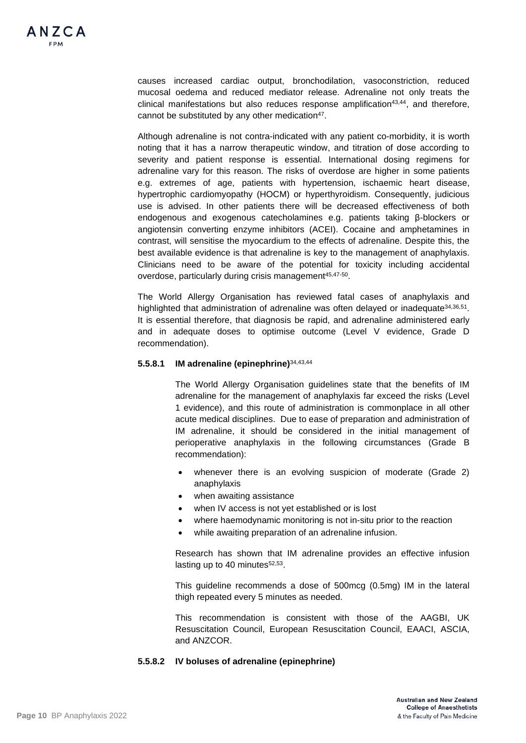causes increased cardiac output, bronchodilation, vasoconstriction, reduced mucosal oedema and reduced mediator release. Adrenaline not only treats the  $clinical$  manifestations but also reduces response amplification<sup>43,44</sup>, and therefore, cannot be substituted by any other medication<sup>47</sup>.

Although adrenaline is not contra-indicated with any patient co-morbidity, it is worth noting that it has a narrow therapeutic window, and titration of dose according to severity and patient response is essential. International dosing regimens for adrenaline vary for this reason. The risks of overdose are higher in some patients e.g. extremes of age, patients with hypertension, ischaemic heart disease, hypertrophic cardiomyopathy (HOCM) or hyperthyroidism. Consequently, judicious use is advised. In other patients there will be decreased effectiveness of both endogenous and exogenous catecholamines e.g. patients taking β-blockers or angiotensin converting enzyme inhibitors (ACEI). Cocaine and amphetamines in contrast, will sensitise the myocardium to the effects of adrenaline. Despite this, the best available evidence is that adrenaline is key to the management of anaphylaxis. Clinicians need to be aware of the potential for toxicity including accidental overdose, particularly during crisis management<sup>45,47-50</sup>.

The World Allergy Organisation has reviewed fatal cases of anaphylaxis and highlighted that administration of adrenaline was often delayed or inadequate<sup>34,36,51</sup>. It is essential therefore, that diagnosis be rapid, and adrenaline administered early and in adequate doses to optimise outcome (Level V evidence, Grade D recommendation).

## **5.5.8.1 IM adrenaline (epinephrine)**34,43,44

The World Allergy Organisation guidelines state that the benefits of IM adrenaline for the management of anaphylaxis far exceed the risks (Level 1 evidence), and this route of administration is commonplace in all other acute medical disciplines. Due to ease of preparation and administration of IM adrenaline, it should be considered in the initial management of perioperative anaphylaxis in the following circumstances (Grade B recommendation):

- whenever there is an evolving suspicion of moderate (Grade 2) anaphylaxis
- when awaiting assistance
- when IV access is not yet established or is lost
- where haemodynamic monitoring is not in-situ prior to the reaction
- while awaiting preparation of an adrenaline infusion.

Research has shown that IM adrenaline provides an effective infusion lasting up to 40 minutes $52,53$ .

This guideline recommends a dose of 500mcg (0.5mg) IM in the lateral thigh repeated every 5 minutes as needed.

This recommendation is consistent with those of the AAGBI, UK Resuscitation Council, European Resuscitation Council, EAACI, ASCIA, and ANZCOR.

### **5.5.8.2 IV boluses of adrenaline (epinephrine)**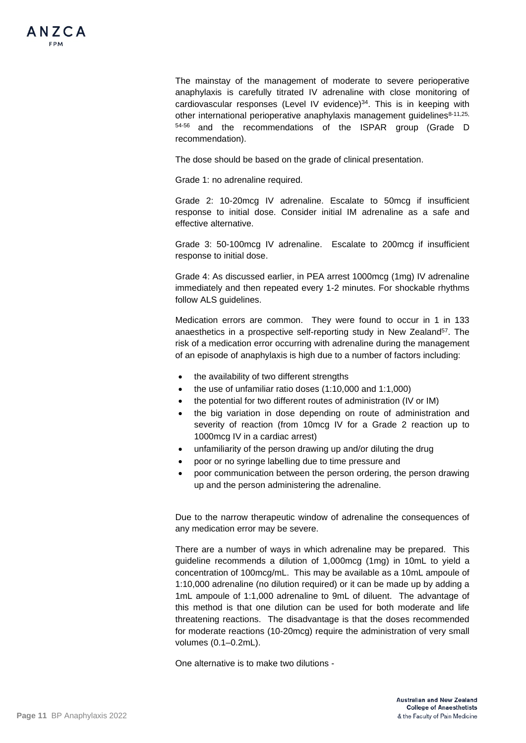The mainstay of the management of moderate to severe perioperative anaphylaxis is carefully titrated IV adrenaline with close monitoring of cardiovascular responses (Level IV evidence)<sup>34</sup>. This is in keeping with other international perioperative anaphylaxis management guidelines<sup>8-11,25,</sup> 54-56 and the recommendations of the ISPAR group (Grade D recommendation).

The dose should be based on the grade of clinical presentation.

Grade 1: no adrenaline required.

Grade 2: 10-20mcg IV adrenaline. Escalate to 50mcg if insufficient response to initial dose. Consider initial IM adrenaline as a safe and effective alternative.

Grade 3: 50-100mcg IV adrenaline. Escalate to 200mcg if insufficient response to initial dose.

Grade 4: As discussed earlier, in PEA arrest 1000mcg (1mg) IV adrenaline immediately and then repeated every 1-2 minutes. For shockable rhythms follow ALS guidelines.

Medication errors are common. They were found to occur in 1 in 133 anaesthetics in a prospective self-reporting study in New Zealand<sup>57</sup>. The risk of a medication error occurring with adrenaline during the management of an episode of anaphylaxis is high due to a number of factors including:

- the availability of two different strengths
- the use of unfamiliar ratio doses (1:10,000 and 1:1,000)
- the potential for two different routes of administration (IV or IM)
- the big variation in dose depending on route of administration and severity of reaction (from 10mcg IV for a Grade 2 reaction up to 1000mcg IV in a cardiac arrest)
- unfamiliarity of the person drawing up and/or diluting the drug
- poor or no syringe labelling due to time pressure and
- poor communication between the person ordering, the person drawing up and the person administering the adrenaline.

Due to the narrow therapeutic window of adrenaline the consequences of any medication error may be severe.

There are a number of ways in which adrenaline may be prepared. This guideline recommends a dilution of 1,000mcg (1mg) in 10mL to yield a concentration of 100mcg/mL. This may be available as a 10mL ampoule of 1:10,000 adrenaline (no dilution required) or it can be made up by adding a 1mL ampoule of 1:1,000 adrenaline to 9mL of diluent. The advantage of this method is that one dilution can be used for both moderate and life threatening reactions. The disadvantage is that the doses recommended for moderate reactions (10-20mcg) require the administration of very small volumes (0.1–0.2mL).

One alternative is to make two dilutions -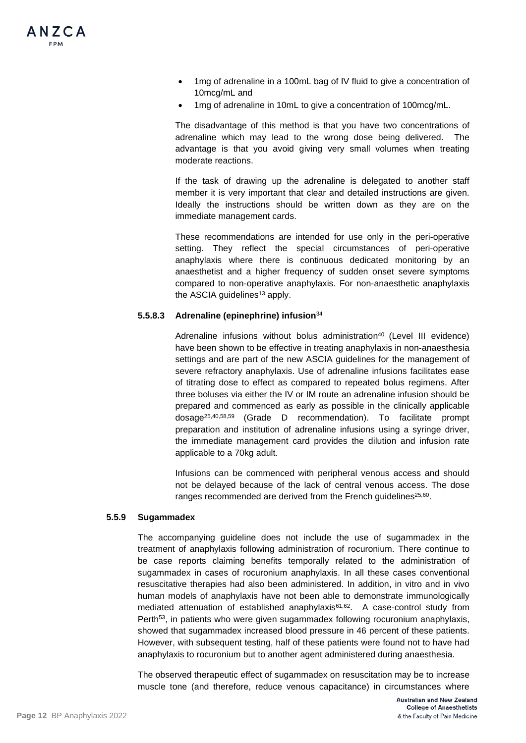

- 1mg of adrenaline in a 100mL bag of IV fluid to give a concentration of 10mcg/mL and
- 1mg of adrenaline in 10mL to give a concentration of 100mcg/mL.

The disadvantage of this method is that you have two concentrations of adrenaline which may lead to the wrong dose being delivered. The advantage is that you avoid giving very small volumes when treating moderate reactions.

If the task of drawing up the adrenaline is delegated to another staff member it is very important that clear and detailed instructions are given. Ideally the instructions should be written down as they are on the immediate management cards.

These recommendations are intended for use only in the peri-operative setting. They reflect the special circumstances of peri-operative anaphylaxis where there is continuous dedicated monitoring by an anaesthetist and a higher frequency of sudden onset severe symptoms compared to non-operative anaphylaxis. For non-anaesthetic anaphylaxis the ASCIA guidelines $13$  apply.

## **5.5.8.3 Adrenaline (epinephrine) infusion**<sup>34</sup>

Adrenaline infusions without bolus administration<sup>40</sup> (Level III evidence) have been shown to be effective in treating anaphylaxis in non-anaesthesia settings and are part of the new ASCIA guidelines for the management of severe refractory anaphylaxis. Use of adrenaline infusions facilitates ease of titrating dose to effect as compared to repeated bolus regimens. After three boluses via either the IV or IM route an adrenaline infusion should be prepared and commenced as early as possible in the clinically applicable dosage25,40,58,59 (Grade D recommendation). To facilitate prompt preparation and institution of adrenaline infusions using a syringe driver, the immediate management card provides the dilution and infusion rate applicable to a 70kg adult.

Infusions can be commenced with peripheral venous access and should not be delayed because of the lack of central venous access. The dose ranges recommended are derived from the French guidelines<sup>25,60</sup>.

### **5.5.9 Sugammadex**

The accompanying guideline does not include the use of sugammadex in the treatment of anaphylaxis following administration of rocuronium. There continue to be case reports claiming benefits temporally related to the administration of sugammadex in cases of rocuronium anaphylaxis. In all these cases conventional resuscitative therapies had also been administered. In addition, in vitro and in vivo human models of anaphylaxis have not been able to demonstrate immunologically mediated attenuation of established anaphylaxis<sup>61,62</sup>. A case-control study from Perth<sup>53</sup>, in patients who were given sugammadex following rocuronium anaphylaxis, showed that sugammadex increased blood pressure in 46 percent of these patients. However, with subsequent testing, half of these patients were found not to have had anaphylaxis to rocuronium but to another agent administered during anaesthesia.

The observed therapeutic effect of sugammadex on resuscitation may be to increase muscle tone (and therefore, reduce venous capacitance) in circumstances where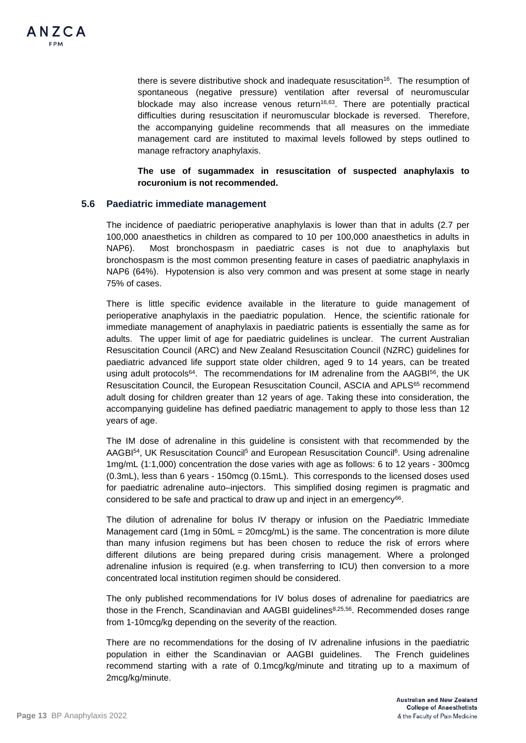

there is severe distributive shock and inadequate resuscitation<sup>16</sup>. The resumption of spontaneous (negative pressure) ventilation after reversal of neuromuscular blockade may also increase venous return<sup>16,63</sup>. There are potentially practical difficulties during resuscitation if neuromuscular blockade is reversed. Therefore, the accompanying guideline recommends that all measures on the immediate management card are instituted to maximal levels followed by steps outlined to manage refractory anaphylaxis.

**The use of sugammadex in resuscitation of suspected anaphylaxis to rocuronium is not recommended.**

## **5.6 Paediatric immediate management**

The incidence of paediatric perioperative anaphylaxis is lower than that in adults (2.7 per 100,000 anaesthetics in children as compared to 10 per 100,000 anaesthetics in adults in NAP6). Most bronchospasm in paediatric cases is not due to anaphylaxis but bronchospasm is the most common presenting feature in cases of paediatric anaphylaxis in NAP6 (64%). Hypotension is also very common and was present at some stage in nearly 75% of cases.

There is little specific evidence available in the literature to guide management of perioperative anaphylaxis in the paediatric population. Hence, the scientific rationale for immediate management of anaphylaxis in paediatric patients is essentially the same as for adults. The upper limit of age for paediatric guidelines is unclear. The current Australian Resuscitation Council (ARC) and New Zealand Resuscitation Council (NZRC) guidelines for paediatric advanced life support state older children, aged 9 to 14 years, can be treated using adult protocols<sup>64</sup>. The recommendations for IM adrenaline from the  $AAGB^{156}$ , the UK Resuscitation Council, the European Resuscitation Council, ASCIA and APLS<sup>65</sup> recommend adult dosing for children greater than 12 years of age. Taking these into consideration, the accompanying guideline has defined paediatric management to apply to those less than 12 years of age.

The IM dose of adrenaline in this guideline is consistent with that recommended by the AAGBI<sup>54</sup>, UK Resuscitation Council<sup>5</sup> and European Resuscitation Council<sup>6</sup>. Using adrenaline 1mg/mL (1:1,000) concentration the dose varies with age as follows: 6 to 12 years - 300mcg (0.3mL), less than 6 years - 150mcg (0.15mL). This corresponds to the licensed doses used for paediatric adrenaline auto–injectors. This simplified dosing regimen is pragmatic and considered to be safe and practical to draw up and inject in an emergency<sup>66</sup>.

The dilution of adrenaline for bolus IV therapy or infusion on the Paediatric Immediate Management card (1mg in 50mL = 20mcg/mL) is the same. The concentration is more dilute than many infusion regimens but has been chosen to reduce the risk of errors where different dilutions are being prepared during crisis management. Where a prolonged adrenaline infusion is required (e.g. when transferring to ICU) then conversion to a more concentrated local institution regimen should be considered.

The only published recommendations for IV bolus doses of adrenaline for paediatrics are those in the French, Scandinavian and AAGBI guidelines<sup>8,25,56</sup>. Recommended doses range from 1-10mcg/kg depending on the severity of the reaction.

There are no recommendations for the dosing of IV adrenaline infusions in the paediatric population in either the Scandinavian or AAGBI guidelines. The French guidelines recommend starting with a rate of 0.1mcg/kg/minute and titrating up to a maximum of 2mcg/kg/minute.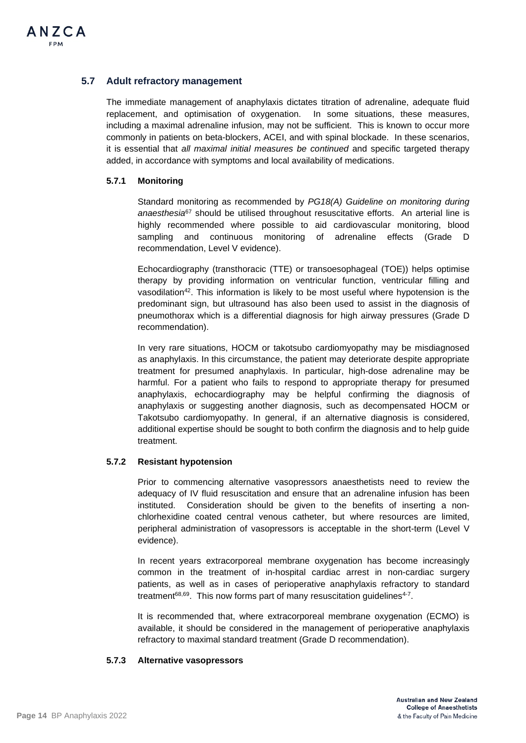## **5.7 Adult refractory management**

The immediate management of anaphylaxis dictates titration of adrenaline, adequate fluid replacement, and optimisation of oxygenation. In some situations, these measures, including a maximal adrenaline infusion, may not be sufficient. This is known to occur more commonly in patients on beta-blockers, ACEI, and with spinal blockade. In these scenarios, it is essential that *all maximal initial measures be continued* and specific targeted therapy added, in accordance with symptoms and local availability of medications.

## **5.7.1 Monitoring**

Standard monitoring as recommended by *PG18(A) Guideline on monitoring during anaesthesia*<sup>67</sup> should be utilised throughout resuscitative efforts. An arterial line is highly recommended where possible to aid cardiovascular monitoring, blood sampling and continuous monitoring of adrenaline effects (Grade D recommendation, Level V evidence).

Echocardiography (transthoracic (TTE) or transoesophageal (TOE)) helps optimise therapy by providing information on ventricular function, ventricular filling and vasodilation42. This information is likely to be most useful where hypotension is the predominant sign, but ultrasound has also been used to assist in the diagnosis of pneumothorax which is a differential diagnosis for high airway pressures (Grade D recommendation).

In very rare situations, HOCM or takotsubo cardiomyopathy may be misdiagnosed as anaphylaxis. In this circumstance, the patient may deteriorate despite appropriate treatment for presumed anaphylaxis. In particular, high-dose adrenaline may be harmful. For a patient who fails to respond to appropriate therapy for presumed anaphylaxis, echocardiography may be helpful confirming the diagnosis of anaphylaxis or suggesting another diagnosis, such as decompensated HOCM or Takotsubo cardiomyopathy. In general, if an alternative diagnosis is considered, additional expertise should be sought to both confirm the diagnosis and to help guide treatment.

## **5.7.2 Resistant hypotension**

Prior to commencing alternative vasopressors anaesthetists need to review the adequacy of IV fluid resuscitation and ensure that an adrenaline infusion has been instituted. Consideration should be given to the benefits of inserting a nonchlorhexidine coated central venous catheter, but where resources are limited, peripheral administration of vasopressors is acceptable in the short-term (Level V evidence).

In recent years extracorporeal membrane oxygenation has become increasingly common in the treatment of in-hospital cardiac arrest in non-cardiac surgery patients, as well as in cases of perioperative anaphylaxis refractory to standard treatment<sup>68,69</sup>. This now forms part of many resuscitation quidelines<sup>4-7</sup>.

It is recommended that, where extracorporeal membrane oxygenation (ECMO) is available, it should be considered in the management of perioperative anaphylaxis refractory to maximal standard treatment (Grade D recommendation).

### **5.7.3 Alternative vasopressors**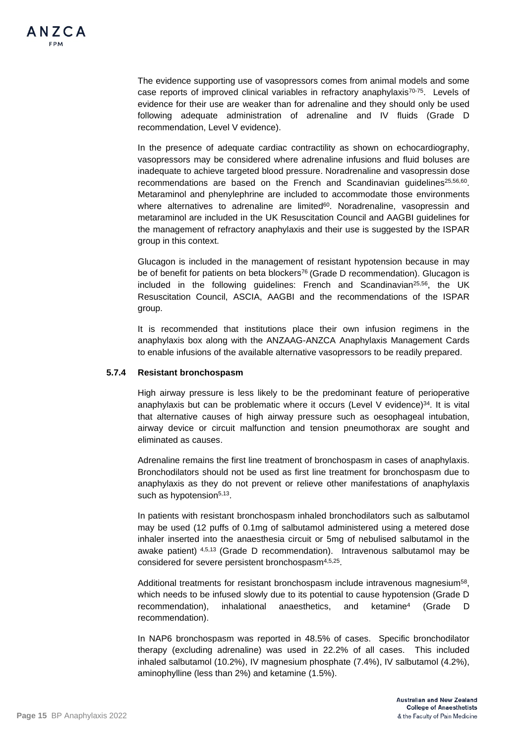The evidence supporting use of vasopressors comes from animal models and some case reports of improved clinical variables in refractory anaphylaxis<sup>70-75</sup>. Levels of evidence for their use are weaker than for adrenaline and they should only be used following adequate administration of adrenaline and IV fluids (Grade D recommendation, Level V evidence).

In the presence of adequate cardiac contractility as shown on echocardiography, vasopressors may be considered where adrenaline infusions and fluid boluses are inadequate to achieve targeted blood pressure. Noradrenaline and vasopressin dose recommendations are based on the French and Scandinavian guidelines<sup>25,56,60</sup>. Metaraminol and phenylephrine are included to accommodate those environments where alternatives to adrenaline are limited<sup>60</sup>. Noradrenaline, vasopressin and metaraminol are included in the UK Resuscitation Council and AAGBI guidelines for the management of refractory anaphylaxis and their use is suggested by the ISPAR group in this context.

Glucagon is included in the management of resistant hypotension because in may be of benefit for patients on beta blockers<sup>76</sup> (Grade D recommendation). Glucagon is included in the following guidelines: French and Scandinavian<sup>25,56</sup>, the UK Resuscitation Council, ASCIA, AAGBI and the recommendations of the ISPAR group.

It is recommended that institutions place their own infusion regimens in the anaphylaxis box along with the ANZAAG-ANZCA Anaphylaxis Management Cards to enable infusions of the available alternative vasopressors to be readily prepared.

## **5.7.4 Resistant bronchospasm**

High airway pressure is less likely to be the predominant feature of perioperative anaphylaxis but can be problematic where it occurs (Level V evidence) $34$ . It is vital that alternative causes of high airway pressure such as oesophageal intubation, airway device or circuit malfunction and tension pneumothorax are sought and eliminated as causes.

Adrenaline remains the first line treatment of bronchospasm in cases of anaphylaxis. Bronchodilators should not be used as first line treatment for bronchospasm due to anaphylaxis as they do not prevent or relieve other manifestations of anaphylaxis such as hypotension<sup>5,13</sup>.

In patients with resistant bronchospasm inhaled bronchodilators such as salbutamol may be used (12 puffs of 0.1mg of salbutamol administered using a metered dose inhaler inserted into the anaesthesia circuit or 5mg of nebulised salbutamol in the awake patient) <sup>4,5,13</sup> (Grade D recommendation). Intravenous salbutamol may be considered for severe persistent bronchospasm4,5,25.

Additional treatments for resistant bronchospasm include intravenous magnesium<sup>58</sup>, which needs to be infused slowly due to its potential to cause hypotension (Grade D recommendation), inhalational anaesthetics, and ketamine4 (Grade D recommendation).

In NAP6 bronchospasm was reported in 48.5% of cases. Specific bronchodilator therapy (excluding adrenaline) was used in 22.2% of all cases. This included inhaled salbutamol (10.2%), IV magnesium phosphate (7.4%), IV salbutamol (4.2%), aminophylline (less than 2%) and ketamine (1.5%).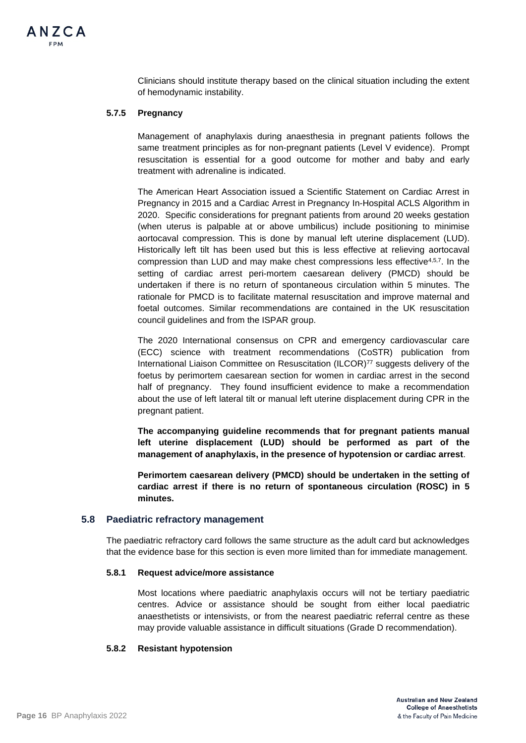Clinicians should institute therapy based on the clinical situation including the extent of hemodynamic instability.

## **5.7.5 Pregnancy**

Management of anaphylaxis during anaesthesia in pregnant patients follows the same treatment principles as for non-pregnant patients (Level V evidence). Prompt resuscitation is essential for a good outcome for mother and baby and early treatment with adrenaline is indicated.

The American Heart Association issued a Scientific Statement on Cardiac Arrest in Pregnancy in 2015 and a Cardiac Arrest in Pregnancy In-Hospital ACLS Algorithm in 2020. Specific considerations for pregnant patients from around 20 weeks gestation (when uterus is palpable at or above umbilicus) include positioning to minimise aortocaval compression. This is done by manual left uterine displacement (LUD). Historically left tilt has been used but this is less effective at relieving aortocaval compression than LUD and may make chest compressions less effective4,5,7. In the setting of cardiac arrest peri-mortem caesarean delivery (PMCD) should be undertaken if there is no return of spontaneous circulation within 5 minutes. The rationale for PMCD is to facilitate maternal resuscitation and improve maternal and foetal outcomes. Similar recommendations are contained in the UK resuscitation council guidelines and from the ISPAR group.

The 2020 International consensus on CPR and emergency cardiovascular care (ECC) science with treatment recommendations (CoSTR) publication from International Liaison Committee on Resuscitation (ILCOR)77 suggests delivery of the foetus by perimortem caesarean section for women in cardiac arrest in the second half of pregnancy. They found insufficient evidence to make a recommendation about the use of left lateral tilt or manual left uterine displacement during CPR in the pregnant patient.

**The accompanying guideline recommends that for pregnant patients manual left uterine displacement (LUD) should be performed as part of the management of anaphylaxis, in the presence of hypotension or cardiac arrest**.

**Perimortem caesarean delivery (PMCD) should be undertaken in the setting of cardiac arrest if there is no return of spontaneous circulation (ROSC) in 5 minutes.** 

### **5.8 Paediatric refractory management**

The paediatric refractory card follows the same structure as the adult card but acknowledges that the evidence base for this section is even more limited than for immediate management.

### **5.8.1 Request advice/more assistance**

Most locations where paediatric anaphylaxis occurs will not be tertiary paediatric centres. Advice or assistance should be sought from either local paediatric anaesthetists or intensivists, or from the nearest paediatric referral centre as these may provide valuable assistance in difficult situations (Grade D recommendation).

### **5.8.2 Resistant hypotension**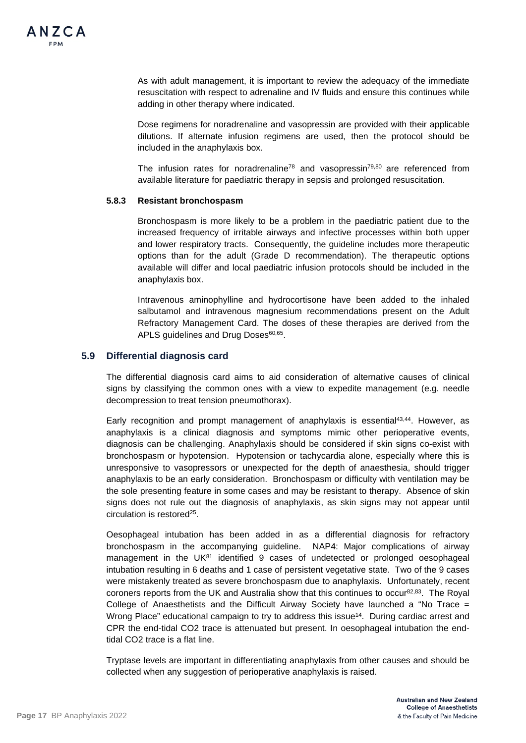As with adult management, it is important to review the adequacy of the immediate resuscitation with respect to adrenaline and IV fluids and ensure this continues while adding in other therapy where indicated.

Dose regimens for noradrenaline and vasopressin are provided with their applicable dilutions. If alternate infusion regimens are used, then the protocol should be included in the anaphylaxis box.

The infusion rates for noradrenaline<sup>78</sup> and vasopressin<sup>79,80</sup> are referenced from available literature for paediatric therapy in sepsis and prolonged resuscitation.

### **5.8.3 Resistant bronchospasm**

Bronchospasm is more likely to be a problem in the paediatric patient due to the increased frequency of irritable airways and infective processes within both upper and lower respiratory tracts. Consequently, the guideline includes more therapeutic options than for the adult (Grade D recommendation). The therapeutic options available will differ and local paediatric infusion protocols should be included in the anaphylaxis box.

Intravenous aminophylline and hydrocortisone have been added to the inhaled salbutamol and intravenous magnesium recommendations present on the Adult Refractory Management Card. The doses of these therapies are derived from the APLS guidelines and Drug Doses<sup>60,65</sup>.

## **5.9 Differential diagnosis card**

The differential diagnosis card aims to aid consideration of alternative causes of clinical signs by classifying the common ones with a view to expedite management (e.g. needle decompression to treat tension pneumothorax).

Early recognition and prompt management of anaphylaxis is essential43,44. However, as anaphylaxis is a clinical diagnosis and symptoms mimic other perioperative events, diagnosis can be challenging. Anaphylaxis should be considered if skin signs co-exist with bronchospasm or hypotension. Hypotension or tachycardia alone, especially where this is unresponsive to vasopressors or unexpected for the depth of anaesthesia, should trigger anaphylaxis to be an early consideration. Bronchospasm or difficulty with ventilation may be the sole presenting feature in some cases and may be resistant to therapy. Absence of skin signs does not rule out the diagnosis of anaphylaxis, as skin signs may not appear until circulation is restored25.

Oesophageal intubation has been added in as a differential diagnosis for refractory bronchospasm in the accompanying guideline. NAP4: Major complications of airway management in the UK $81$  identified 9 cases of undetected or prolonged oesophageal intubation resulting in 6 deaths and 1 case of persistent vegetative state. Two of the 9 cases were mistakenly treated as severe bronchospasm due to anaphylaxis. Unfortunately, recent coroners reports from the UK and Australia show that this continues to occur $82,83$ . The Royal College of Anaesthetists and the Difficult Airway Society have launched a "No Trace = Wrong Place" educational campaign to try to address this issue<sup>14</sup>. During cardiac arrest and CPR the end-tidal CO2 trace is attenuated but present. In oesophageal intubation the endtidal CO2 trace is a flat line.

Tryptase levels are important in differentiating anaphylaxis from other causes and should be collected when any suggestion of perioperative anaphylaxis is raised.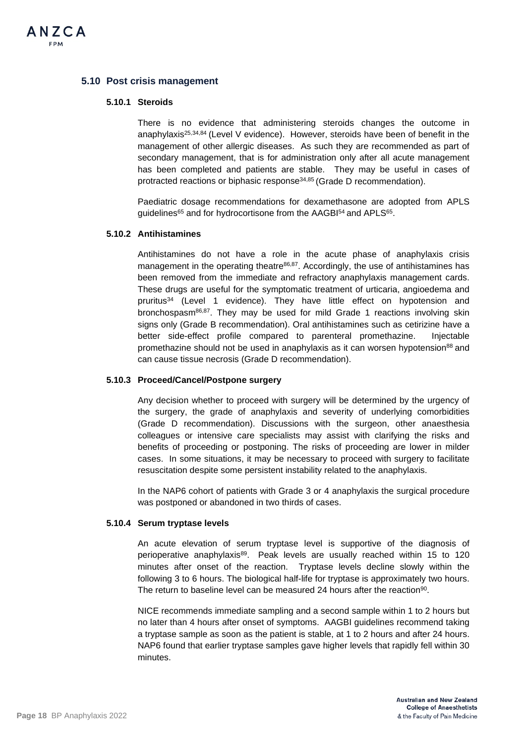

## **5.10 Post crisis management**

## **5.10.1 Steroids**

There is no evidence that administering steroids changes the outcome in anaphylaxis<sup>25,34,84</sup> (Level V evidence). However, steroids have been of benefit in the management of other allergic diseases. As such they are recommended as part of secondary management, that is for administration only after all acute management has been completed and patients are stable. They may be useful in cases of protracted reactions or biphasic response34,85 (Grade D recommendation).

Paediatric dosage recommendations for dexamethasone are adopted from APLS guidelines<sup>65</sup> and for hydrocortisone from the AAGBI<sup>54</sup> and APLS<sup>65</sup>.

#### **5.10.2 Antihistamines**

Antihistamines do not have a role in the acute phase of anaphylaxis crisis management in the operating theatre $86,87$ . Accordingly, the use of antihistamines has been removed from the immediate and refractory anaphylaxis management cards. These drugs are useful for the symptomatic treatment of urticaria, angioedema and pruritus34 (Level 1 evidence). They have little effect on hypotension and bronchospasm $86,87$ . They may be used for mild Grade 1 reactions involving skin signs only (Grade B recommendation). Oral antihistamines such as cetirizine have a better side-effect profile compared to parenteral promethazine. Injectable promethazine should not be used in anaphylaxis as it can worsen hypotension<sup>88</sup> and can cause tissue necrosis (Grade D recommendation).

#### **5.10.3 Proceed/Cancel/Postpone surgery**

Any decision whether to proceed with surgery will be determined by the urgency of the surgery, the grade of anaphylaxis and severity of underlying comorbidities (Grade D recommendation). Discussions with the surgeon, other anaesthesia colleagues or intensive care specialists may assist with clarifying the risks and benefits of proceeding or postponing. The risks of proceeding are lower in milder cases. In some situations, it may be necessary to proceed with surgery to facilitate resuscitation despite some persistent instability related to the anaphylaxis.

In the NAP6 cohort of patients with Grade 3 or 4 anaphylaxis the surgical procedure was postponed or abandoned in two thirds of cases.

### **5.10.4 Serum tryptase levels**

An acute elevation of serum tryptase level is supportive of the diagnosis of perioperative anaphylaxis<sup>89</sup>. Peak levels are usually reached within 15 to 120 minutes after onset of the reaction. Tryptase levels decline slowly within the following 3 to 6 hours. The biological half-life for tryptase is approximately two hours. The return to baseline level can be measured 24 hours after the reaction<sup>90</sup>.

NICE recommends immediate sampling and a second sample within 1 to 2 hours but no later than 4 hours after onset of symptoms. AAGBI guidelines recommend taking a tryptase sample as soon as the patient is stable, at 1 to 2 hours and after 24 hours. NAP6 found that earlier tryptase samples gave higher levels that rapidly fell within 30 minutes.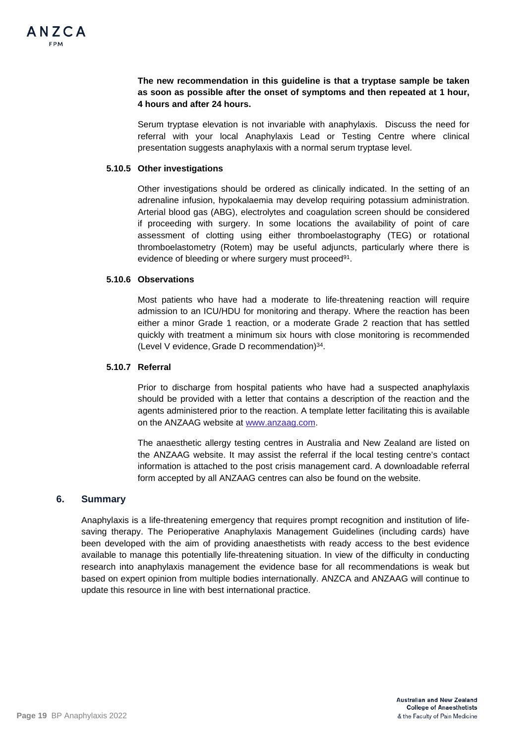## **The new recommendation in this guideline is that a tryptase sample be taken as soon as possible after the onset of symptoms and then repeated at 1 hour, 4 hours and after 24 hours.**

Serum tryptase elevation is not invariable with anaphylaxis. Discuss the need for referral with your local Anaphylaxis Lead or Testing Centre where clinical presentation suggests anaphylaxis with a normal serum tryptase level.

## **5.10.5 Other investigations**

Other investigations should be ordered as clinically indicated. In the setting of an adrenaline infusion, hypokalaemia may develop requiring potassium administration. Arterial blood gas (ABG), electrolytes and coagulation screen should be considered if proceeding with surgery. In some locations the availability of point of care assessment of clotting using either thromboelastography (TEG) or rotational thromboelastometry (Rotem) may be useful adjuncts, particularly where there is evidence of bleeding or where surgery must proceed<sup>91</sup>.

### **5.10.6 Observations**

Most patients who have had a moderate to life-threatening reaction will require admission to an ICU/HDU for monitoring and therapy. Where the reaction has been either a minor Grade 1 reaction, or a moderate Grade 2 reaction that has settled quickly with treatment a minimum six hours with close monitoring is recommended (Level V evidence, Grade D recommendation)34.

## **5.10.7 Referral**

Prior to discharge from hospital patients who have had a suspected anaphylaxis should be provided with a letter that contains a description of the reaction and the agents administered prior to the reaction. A template letter facilitating this is available on the ANZAAG website at [www.anzaag.com.](http://www.anzaag.com/)

The anaesthetic allergy testing centres in Australia and New Zealand are listed on the ANZAAG website. It may assist the referral if the local testing centre's contact information is attached to the post crisis management card. A downloadable referral form accepted by all ANZAAG centres can also be found on the website.

## **6. Summary**

Anaphylaxis is a life-threatening emergency that requires prompt recognition and institution of lifesaving therapy. The Perioperative Anaphylaxis Management Guidelines (including cards) have been developed with the aim of providing anaesthetists with ready access to the best evidence available to manage this potentially life-threatening situation. In view of the difficulty in conducting research into anaphylaxis management the evidence base for all recommendations is weak but based on expert opinion from multiple bodies internationally. ANZCA and ANZAAG will continue to update this resource in line with best international practice.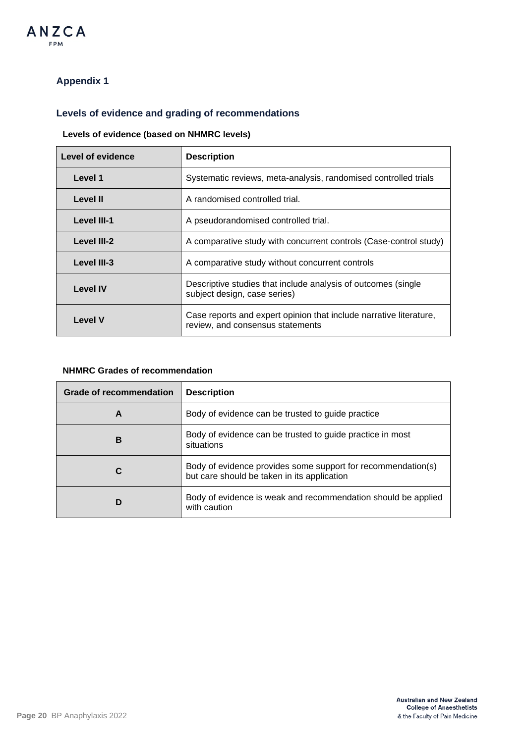

## **Appendix 1**

## **Levels of evidence and grading of recommendations**

## **Levels of evidence (based on NHMRC levels)**

| Level of evidence | <b>Description</b>                                                                                     |
|-------------------|--------------------------------------------------------------------------------------------------------|
| Level 1           | Systematic reviews, meta-analysis, randomised controlled trials                                        |
| Level II          | A randomised controlled trial.                                                                         |
| Level III-1       | A pseudorandomised controlled trial.                                                                   |
| Level III-2       | A comparative study with concurrent controls (Case-control study)                                      |
| Level III-3       | A comparative study without concurrent controls                                                        |
| <b>Level IV</b>   | Descriptive studies that include analysis of outcomes (single<br>subject design, case series)          |
| <b>Level V</b>    | Case reports and expert opinion that include narrative literature,<br>review, and consensus statements |

## **NHMRC Grades of recommendation**

| <b>Grade of recommendation</b> | <b>Description</b>                                                                                          |
|--------------------------------|-------------------------------------------------------------------------------------------------------------|
| A                              | Body of evidence can be trusted to guide practice                                                           |
| в                              | Body of evidence can be trusted to guide practice in most<br>situations                                     |
|                                | Body of evidence provides some support for recommendation(s)<br>but care should be taken in its application |
|                                | Body of evidence is weak and recommendation should be applied<br>with caution                               |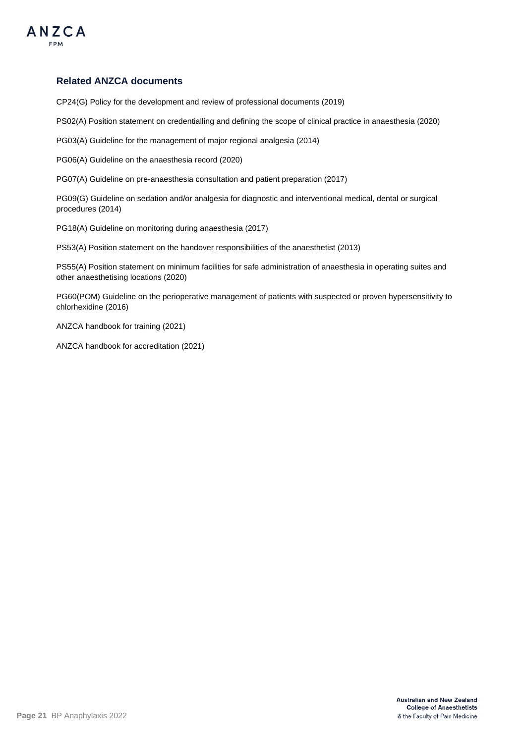

## **Related ANZCA documents**

CP24(G) Policy for the development and review of professional documents (2019)

PS02(A) Position statement on credentialling and defining the scope of clinical practice in anaesthesia (2020)

PG03(A) Guideline for the management of major regional analgesia (2014)

PG06(A) Guideline on the anaesthesia record (2020)

PG07(A) Guideline on pre-anaesthesia consultation and patient preparation (2017)

PG09(G) Guideline on sedation and/or analgesia for diagnostic and interventional medical, dental or surgical procedures (2014)

PG18(A) Guideline on monitoring during anaesthesia (2017)

PS53(A) Position statement on the handover responsibilities of the anaesthetist (2013)

PS55(A) Position statement on minimum facilities for safe administration of anaesthesia in operating suites and other anaesthetising locations (2020)

PG60(POM) Guideline on the perioperative management of patients with suspected or proven hypersensitivity to chlorhexidine (2016)

ANZCA handbook for training (2021)

ANZCA handbook for accreditation (2021)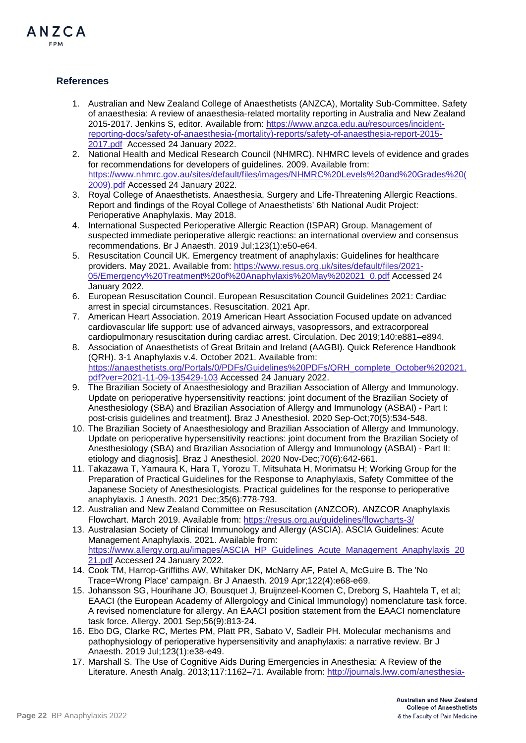

## **References**

- 1. Australian and New Zealand College of Anaesthetists (ANZCA), Mortality Sub-Committee. Safety of anaesthesia: A review of anaesthesia-related mortality reporting in Australia and New Zealand 2015-2017. Jenkins S, editor. Available from: [https://www.anzca.edu.au/resources/incident](https://www.anzca.edu.au/resources/incident-reporting-docs/safety-of-anaesthesia-(mortality)-reports/safety-of-anaesthesia-report-2015-2017.pdf)[reporting-docs/safety-of-anaesthesia-\(mortality\)-reports/safety-of-anaesthesia-report-2015-](https://www.anzca.edu.au/resources/incident-reporting-docs/safety-of-anaesthesia-(mortality)-reports/safety-of-anaesthesia-report-2015-2017.pdf) [2017.pdf](https://www.anzca.edu.au/resources/incident-reporting-docs/safety-of-anaesthesia-(mortality)-reports/safety-of-anaesthesia-report-2015-2017.pdf) Accessed 24 January 2022.
- 2. National Health and Medical Research Council (NHMRC). NHMRC levels of evidence and grades for recommendations for developers of guidelines. 2009. Available from: [https://www.nhmrc.gov.au/sites/default/files/images/NHMRC%20Levels%20and%20Grades%20\(](https://www.nhmrc.gov.au/sites/default/files/images/NHMRC%20Levels%20and%20Grades%20(2009).pdf) [2009\).pdf](https://www.nhmrc.gov.au/sites/default/files/images/NHMRC%20Levels%20and%20Grades%20(2009).pdf) Accessed 24 January 2022.
- 3. Royal College of Anaesthetists. Anaesthesia, Surgery and Life-Threatening Allergic Reactions. Report and findings of the Royal College of Anaesthetists' 6th National Audit Project: Perioperative Anaphylaxis. May 2018.
- 4. International Suspected Perioperative Allergic Reaction (ISPAR) Group. Management of suspected immediate perioperative allergic reactions: an international overview and consensus recommendations. Br J Anaesth. 2019 Jul;123(1):e50-e64.
- 5. Resuscitation Council UK. Emergency treatment of anaphylaxis: Guidelines for healthcare providers. May 2021. Available from: [https://www.resus.org.uk/sites/default/files/2021-](https://www.resus.org.uk/sites/default/files/2021-05/Emergency%20Treatment%20of%20Anaphylaxis%20May%202021_0.pdf) [05/Emergency%20Treatment%20of%20Anaphylaxis%20May%202021\\_0.pdf](https://www.resus.org.uk/sites/default/files/2021-05/Emergency%20Treatment%20of%20Anaphylaxis%20May%202021_0.pdf) Accessed 24 January 2022.
- 6. European Resuscitation Council. European Resuscitation Council Guidelines 2021: Cardiac arrest in special circumstances. Resuscitation. 2021 Apr.
- 7. American Heart Association. 2019 American Heart Association Focused update on advanced cardiovascular life support: use of advanced airways, vasopressors, and extracorporeal cardiopulmonary resuscitation during cardiac arrest. Circulation. Dec 2019;140:e881–e894.
- 8. Association of Anaesthetists of Great Britain and Ireland (AAGBI). Quick Reference Handbook (QRH). 3-1 Anaphylaxis v.4. October 2021. Available from: [https://anaesthetists.org/Portals/0/PDFs/Guidelines%20PDFs/QRH\\_complete\\_October%202021.](https://anaesthetists.org/Portals/0/PDFs/Guidelines%20PDFs/QRH_complete_October%202021.pdf?ver=2021-11-09-135429-103) [pdf?ver=2021-11-09-135429-103](https://anaesthetists.org/Portals/0/PDFs/Guidelines%20PDFs/QRH_complete_October%202021.pdf?ver=2021-11-09-135429-103) Accessed 24 January 2022.
- 9. The Brazilian Society of Anaesthesiology and Brazilian Association of Allergy and Immunology. Update on perioperative hypersensitivity reactions: joint document of the Brazilian Society of Anesthesiology (SBA) and Brazilian Association of Allergy and Immunology (ASBAI) - Part I: post-crisis guidelines and treatment]. Braz J Anesthesiol. 2020 Sep-Oct;70(5):534-548.
- 10. The Brazilian Society of Anaesthesiology and Brazilian Association of Allergy and Immunology. Update on perioperative hypersensitivity reactions: joint document from the Brazilian Society of Anesthesiology (SBA) and Brazilian Association of Allergy and Immunology (ASBAI) - Part II: etiology and diagnosis]. Braz J Anesthesiol. 2020 Nov-Dec;70(6):642-661.
- 11. Takazawa T, Yamaura K, Hara T, Yorozu T, Mitsuhata H, Morimatsu H; Working Group for the Preparation of Practical Guidelines for the Response to Anaphylaxis, Safety Committee of the Japanese Society of Anesthesiologists. Practical guidelines for the response to perioperative anaphylaxis. J Anesth. 2021 Dec;35(6):778-793.
- 12. Australian and New Zealand Committee on Resuscitation (ANZCOR). ANZCOR Anaphylaxis Flowchart. March 2019. Available from:<https://resus.org.au/guidelines/flowcharts-3/>
- 13. Australasian Society of Clinical Immunology and Allergy (ASCIA). ASCIA Guidelines: Acute Management Anaphylaxis. 2021. Available from: [https://www.allergy.org.au/images/ASCIA\\_HP\\_Guidelines\\_Acute\\_Management\\_Anaphylaxis\\_20](https://www.allergy.org.au/images/ASCIA_HP_Guidelines_Acute_Management_Anaphylaxis_2021.pdf) [21.pdf](https://www.allergy.org.au/images/ASCIA_HP_Guidelines_Acute_Management_Anaphylaxis_2021.pdf) Accessed 24 January 2022.
- 14. Cook TM, Harrop-Griffiths AW, Whitaker DK, McNarry AF, Patel A, McGuire B. The 'No Trace=Wrong Place' campaign. Br J Anaesth. 2019 Apr;122(4):e68-e69.
- 15. Johansson SG, Hourihane JO, Bousquet J, Bruijnzeel-Koomen C, Dreborg S, Haahtela T, et al; EAACI (the European Academy of Allergology and Cinical Immunology) nomenclature task force. A revised nomenclature for allergy. An EAACI position statement from the EAACI nomenclature task force. Allergy. 2001 Sep;56(9):813-24.
- 16. Ebo DG, Clarke RC, Mertes PM, Platt PR, Sabato V, Sadleir PH. Molecular mechanisms and pathophysiology of perioperative hypersensitivity and anaphylaxis: a narrative review. Br J Anaesth. 2019 Jul;123(1):e38-e49.
- 17. Marshall S. The Use of Cognitive Aids During Emergencies in Anesthesia: A Review of the Literature. Anesth Analg. 2013;117:1162–71. Available from: [http://journals.lww.com/anesthesia-](http://journals.lww.com/anesthesia-analgesia/Fulltext/2013/11000/The_Use_of_Cognitive_Aids_During_Emergencies_in.19.aspx)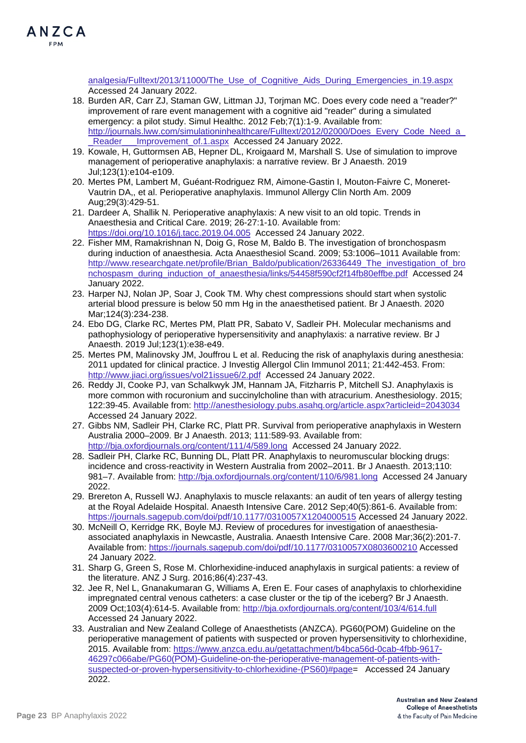

[analgesia/Fulltext/2013/11000/The\\_Use\\_of\\_Cognitive\\_Aids\\_During\\_Emergencies\\_in.19.aspx](http://journals.lww.com/anesthesia-analgesia/Fulltext/2013/11000/The_Use_of_Cognitive_Aids_During_Emergencies_in.19.aspx) Accessed 24 January 2022.

- 18. Burden AR, Carr ZJ, Staman GW, Littman JJ, Torjman MC. Does every code need a "reader?" improvement of rare event management with a cognitive aid "reader" during a simulated emergency: a pilot study. Simul Healthc. 2012 Feb;7(1):1-9. Available from: http://journals.lww.com/simulationinhealthcare/Fulltext/2012/02000/Does\_Every\_Code\_Need\_a Reader Improvement of.1.aspx Accessed 24 January 2022.
- 19. Kowale, H, Guttormsen AB, Hepner DL, Kroigaard M, Marshall S. Use of simulation to improve management of perioperative anaphylaxis: a narrative review. Br J Anaesth. 2019 Jul;123(1):e104-e109.
- 20. Mertes PM, Lambert M, Guéant-Rodriguez RM, Aimone-Gastin I, Mouton-Faivre C, Moneret-Vautrin DA,, et al. Perioperative anaphylaxis. Immunol Allergy Clin North Am. 2009 Aug;29(3):429-51.
- 21. Dardeer A, Shallik N. Perioperative anaphylaxis: A new visit to an old topic. Trends in Anaesthesia and Critical Care. 2019; 26-27:1-10. Available from: <https://doi.org/10.1016/j.tacc.2019.04.005> Accessed 24 January 2022.
- 22. Fisher MM, Ramakrishnan N, Doig G, Rose M, Baldo B. The investigation of bronchospasm during induction of anaesthesia. Acta Anaesthesiol Scand. 2009; 53:1006–1011 Available from: [http://www.researchgate.net/profile/Brian\\_Baldo/publication/26336449\\_The\\_investigation\\_of\\_bro](http://www.researchgate.net/profile/Brian_Baldo/publication/26336449_The_investigation_of_bronchospasm_during_induction_of_anaesthesia/links/54458f590cf2f14fb80effbe.pdf) [nchospasm\\_during\\_induction\\_of\\_anaesthesia/links/54458f590cf2f14fb80effbe.pdf](http://www.researchgate.net/profile/Brian_Baldo/publication/26336449_The_investigation_of_bronchospasm_during_induction_of_anaesthesia/links/54458f590cf2f14fb80effbe.pdf) Accessed 24 January 2022.
- 23. Harper NJ, Nolan JP, Soar J, Cook TM. Why chest compressions should start when systolic arterial blood pressure is below 50 mm Hg in the anaesthetised patient. Br J Anaesth. 2020 Mar;124(3):234-238.
- 24. Ebo DG, Clarke RC, Mertes PM, Platt PR, Sabato V, Sadleir PH. Molecular mechanisms and pathophysiology of perioperative hypersensitivity and anaphylaxis: a narrative review. Br J Anaesth. 2019 Jul;123(1):e38-e49.
- 25. Mertes PM, Malinovsky JM, Jouffrou L et al. Reducing the risk of anaphylaxis during anesthesia: 2011 updated for clinical practice. J Investig Allergol Clin Immunol 2011; 21:442-453. From: <http://www.jiaci.org/issues/vol21issue6/2.pdf> Accessed 24 January 2022.
- 26. Reddy JI, Cooke PJ, van Schalkwyk JM, Hannam JA, Fitzharris P, Mitchell SJ. Anaphylaxis is more common with rocuronium and succinylcholine than with atracurium. Anesthesiology. 2015; 122:39-45. Available from:<http://anesthesiology.pubs.asahq.org/article.aspx?articleid=2043034> Accessed 24 January 2022.
- 27. Gibbs NM, Sadleir PH, Clarke RC, Platt PR. Survival from perioperative anaphylaxis in Western Australia 2000–2009. Br J Anaesth. 2013; 111:589-93. Available from: <http://bja.oxfordjournals.org/content/111/4/589.long>Accessed 24 January 2022.
- 28. Sadleir PH, Clarke RC, Bunning DL, Platt PR. Anaphylaxis to neuromuscular blocking drugs: incidence and cross-reactivity in Western Australia from 2002–2011. Br J Anaesth. 2013;110: 981–7. Available from:<http://bja.oxfordjournals.org/content/110/6/981.long>Accessed 24 January 2022.
- 29. Brereton A, Russell WJ. Anaphylaxis to muscle relaxants: an audit of ten years of allergy testing at the Royal Adelaide Hospital. Anaesth Intensive Care. 2012 Sep;40(5):861-6. Available from: <https://journals.sagepub.com/doi/pdf/10.1177/0310057X1204000515> Accessed 24 January 2022.
- 30. McNeill O, Kerridge RK, Boyle MJ. Review of procedures for investigation of anaesthesiaassociated anaphylaxis in Newcastle, Australia. Anaesth Intensive Care. 2008 Mar;36(2):201-7. Available from:<https://journals.sagepub.com/doi/pdf/10.1177/0310057X0803600210> Accessed 24 January 2022.
- 31. Sharp G, Green S, Rose M. Chlorhexidine-induced anaphylaxis in surgical patients: a review of the literature. ANZ J Surg. 2016;86(4):237-43.
- 32. Jee R, Nel L, Gnanakumaran G, Williams A, Eren E. Four cases of anaphylaxis to chlorhexidine impregnated central venous catheters: a case cluster or the tip of the iceberg? Br J Anaesth. 2009 Oct;103(4):614-5. Available from:<http://bja.oxfordjournals.org/content/103/4/614.full> Accessed 24 January 2022.
- 33. Australian and New Zealand College of Anaesthetists (ANZCA). PG60(POM) Guideline on the perioperative management of patients with suspected or proven hypersensitivity to chlorhexidine, 2015. Available from: [https://www.anzca.edu.au/getattachment/b4bca56d-0cab-4fbb-9617-](https://www.anzca.edu.au/getattachment/b4bca56d-0cab-4fbb-9617-46297c066abe/PG60(POM)-Guideline-on-the-perioperative-management-of-patients-with-suspected-or-proven-hypersensitivity-to-chlorhexidine-(PS60)#page) [46297c066abe/PG60\(POM\)-Guideline-on-the-perioperative-management-of-patients-with](https://www.anzca.edu.au/getattachment/b4bca56d-0cab-4fbb-9617-46297c066abe/PG60(POM)-Guideline-on-the-perioperative-management-of-patients-with-suspected-or-proven-hypersensitivity-to-chlorhexidine-(PS60)#page)[suspected-or-proven-hypersensitivity-to-chlorhexidine-\(PS60\)#page=](https://www.anzca.edu.au/getattachment/b4bca56d-0cab-4fbb-9617-46297c066abe/PG60(POM)-Guideline-on-the-perioperative-management-of-patients-with-suspected-or-proven-hypersensitivity-to-chlorhexidine-(PS60)#page) Accessed 24 January 2022.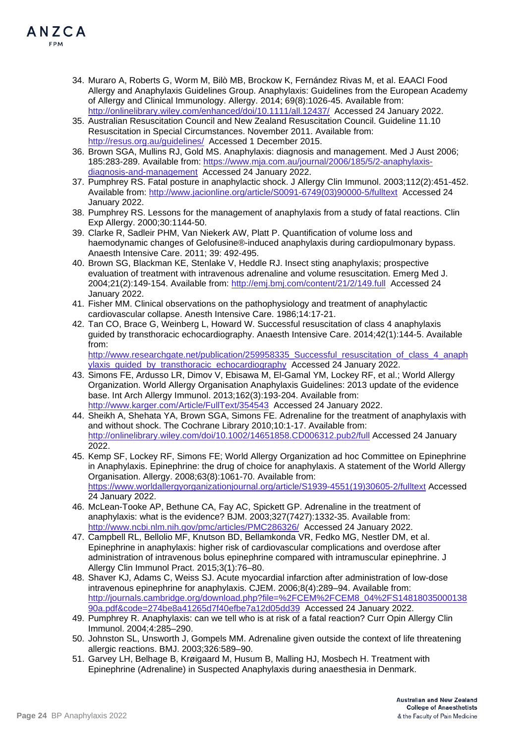

- 34. Muraro A, Roberts G, Worm M, Bilò MB, Brockow K, Fernández Rivas M, et al. EAACI Food Allergy and Anaphylaxis Guidelines Group. Anaphylaxis: Guidelines from the European Academy of Allergy and Clinical Immunology. Allergy. 2014; 69(8):1026-45. Available from: <http://onlinelibrary.wiley.com/enhanced/doi/10.1111/all.12437/>Accessed 24 January 2022.
- 35. Australian Resuscitation Council and New Zealand Resuscitation Council. Guideline 11.10 Resuscitation in Special Circumstances. November 2011. Available from: <http://resus.org.au/guidelines/> Accessed 1 December 2015.
- 36. Brown SGA, Mullins RJ, Gold MS. Anaphylaxis: diagnosis and management. Med J Aust 2006; 185:283-289. Available from: [https://www.mja.com.au/journal/2006/185/5/2-anaphylaxis](https://www.mja.com.au/journal/2006/185/5/2-anaphylaxis-diagnosis-and-management)[diagnosis-and-management](https://www.mja.com.au/journal/2006/185/5/2-anaphylaxis-diagnosis-and-management) Accessed 24 January 2022.
- 37. Pumphrey RS. Fatal posture in anaphylactic shock. J Allergy Clin Immunol. 2003;112(2):451-452. Available from: [http://www.jacionline.org/article/S0091-6749\(03\)90000-5/fulltext](http://www.jacionline.org/article/S0091-6749(03)90000-5/fulltext) Accessed 24 January 2022.
- 38. Pumphrey RS. Lessons for the management of anaphylaxis from a study of fatal reactions. Clin Exp Allergy. 2000;30:1144-50.
- 39. Clarke R, Sadleir PHM, Van Niekerk AW, Platt P. Quantification of volume loss and haemodynamic changes of Gelofusine®-induced anaphylaxis during cardiopulmonary bypass. Anaesth Intensive Care. 2011; 39: 492-495.
- 40. Brown SG, Blackman KE, Stenlake V, Heddle RJ. Insect sting anaphylaxis; prospective evaluation of treatment with intravenous adrenaline and volume resuscitation. Emerg Med J. 2004;21(2):149-154. Available from:<http://emj.bmj.com/content/21/2/149.full>Accessed 24 January 2022.
- 41. Fisher MM. Clinical observations on the pathophysiology and treatment of anaphylactic cardiovascular collapse. Anesth Intensive Care. 1986;14:17-21.
- 42. Tan CO, Brace G, Weinberg L, Howard W. Successful resuscitation of class 4 anaphylaxis guided by transthoracic echocardiography. Anaesth Intensive Care. 2014;42(1):144-5. Available from: [http://www.researchgate.net/publication/259958335\\_Successful\\_resuscitation\\_of\\_class\\_4\\_anaph](http://www.researchgate.net/publication/259958335_Successful_resuscitation_of_class_4_anaphylaxis_guided_by_transthoracic_echocardiography)

ylaxis\_quided\_by\_transthoracic\_echocardiography Accessed 24 January 2022.

- 43. Simons FE, Ardusso LR, Dimov V, Ebisawa M, El-Gamal YM, Lockey RF, et al.; World Allergy Organization. World Allergy Organisation Anaphylaxis Guidelines: 2013 update of the evidence base. Int Arch Allergy Immunol. 2013;162(3):193-204. Available from: <http://www.karger.com/Article/FullText/354543> Accessed 24 January 2022.
- 44. Sheikh A, Shehata YA, Brown SGA, Simons FE. Adrenaline for the treatment of anaphylaxis with and without shock. The Cochrane Library 2010;10:1-17. Available from: <http://onlinelibrary.wiley.com/doi/10.1002/14651858.CD006312.pub2/full> Accessed 24 January 2022.
- 45. Kemp SF, Lockey RF, Simons FE; World Allergy Organization ad hoc Committee on Epinephrine in Anaphylaxis. Epinephrine: the drug of choice for anaphylaxis. A statement of the World Allergy Organisation. Allergy. 2008;63(8):1061-70. Available from: [https://www.worldallergyorganizationjournal.org/article/S1939-4551\(19\)30605-2/fulltext](https://www.worldallergyorganizationjournal.org/article/S1939-4551(19)30605-2/fulltext) Accessed 24 January 2022.
- 46. McLean-Tooke AP, Bethune CA, Fay AC, Spickett GP. Adrenaline in the treatment of anaphylaxis: what is the evidence? BJM. 2003;327(7427):1332-35. Available from: <http://www.ncbi.nlm.nih.gov/pmc/articles/PMC286326/> Accessed 24 January 2022.
- 47. Campbell RL, Bellolio MF, Knutson BD, Bellamkonda VR, Fedko MG, Nestler DM, et al. Epinephrine in anaphylaxis: higher risk of cardiovascular complications and overdose after administration of intravenous bolus epinephrine compared with intramuscular epinephrine. J Allergy Clin Immunol Pract. 2015;3(1):76–80.
- 48. Shaver KJ, Adams C, Weiss SJ. Acute myocardial infarction after administration of low-dose intravenous epinephrine for anaphylaxis. CJEM. 2006;8(4):289–94. Available from: [http://journals.cambridge.org/download.php?file=%2FCEM%2FCEM8\\_04%2FS14818035000138](http://journals.cambridge.org/download.php?file=%2FCEM%2FCEM8_04%2FS1481803500013890a.pdf&code=274be8a41265d7f40efbe7a12d05dd39) [90a.pdf&code=274be8a41265d7f40efbe7a12d05dd39](http://journals.cambridge.org/download.php?file=%2FCEM%2FCEM8_04%2FS1481803500013890a.pdf&code=274be8a41265d7f40efbe7a12d05dd39) Accessed 24 January 2022.
- 49. Pumphrey R. Anaphylaxis: can we tell who is at risk of a fatal reaction? Curr Opin Allergy Clin Immunol. 2004;4:285–290.
- 50. Johnston SL, Unsworth J, Gompels MM. Adrenaline given outside the context of life threatening allergic reactions. BMJ. 2003;326:589–90.
- 51. Garvey LH, Belhage B, Krøigaard M, Husum B, Malling HJ, Mosbech H. Treatment with Epinephrine (Adrenaline) in Suspected Anaphylaxis during anaesthesia in Denmark.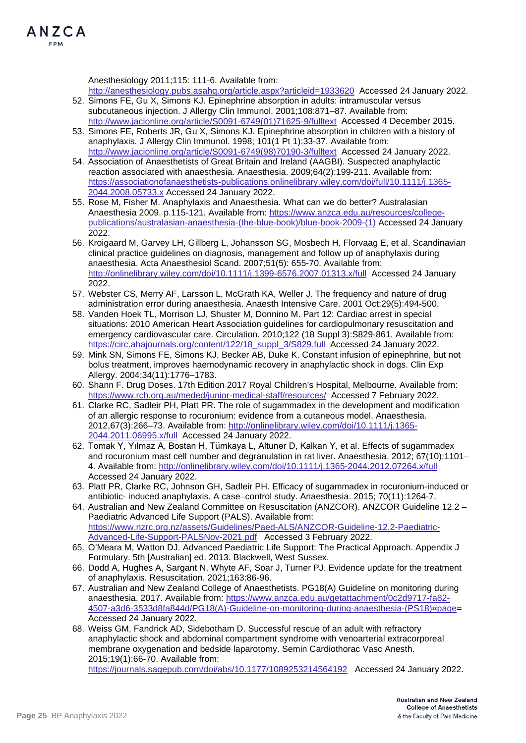Anesthesiology 2011;115: 111-6. Available from:

<http://anesthesiology.pubs.asahq.org/article.aspx?articleid=1933620> Accessed 24 January 2022. 52. Simons FE, Gu X, Simons KJ. Epinephrine absorption in adults: intramuscular versus

- subcutaneous injection. J Allergy Clin Immunol. 2001;108:871–87. Available from: [http://www.jacionline.org/article/S0091-6749\(01\)71625-9/fulltext](http://www.jacionline.org/article/S0091-6749(01)71625-9/fulltext) Accessed 4 December 2015. 53. Simons FE, Roberts JR, Gu X, Simons KJ. Epinephrine absorption in children with a history of
- anaphylaxis. J Allergy Clin Immunol. 1998; 101(1 Pt 1):33-37. Available from: [http://www.jacionline.org/article/S0091-6749\(98\)70190-3/fulltext](http://www.jacionline.org/article/S0091-6749(98)70190-3/fulltext) Accessed 24 January 2022.
- 54. Association of Anaesthetists of Great Britain and Ireland (AAGBI). Suspected anaphylactic reaction associated with anaesthesia. Anaesthesia. 2009;64(2):199-211. Available from: [https://associationofanaesthetists-publications.onlinelibrary.wiley.com/doi/full/10.1111/j.1365-](https://associationofanaesthetists-publications.onlinelibrary.wiley.com/doi/full/10.1111/j.1365-2044.2008.05733.x) [2044.2008.05733.x](https://associationofanaesthetists-publications.onlinelibrary.wiley.com/doi/full/10.1111/j.1365-2044.2008.05733.x) Accessed 24 January 2022.
- 55. Rose M, Fisher M. Anaphylaxis and Anaesthesia. What can we do better? Australasian Anaesthesia 2009. p.115-121. Available from: [https://www.anzca.edu.au/resources/college](https://www.anzca.edu.au/resources/college-publications/australasian-anaesthesia-(the-blue-book)/blue-book-2009-(1))[publications/australasian-anaesthesia-\(the-blue-book\)/blue-book-2009-\(1\)](https://www.anzca.edu.au/resources/college-publications/australasian-anaesthesia-(the-blue-book)/blue-book-2009-(1)) Accessed 24 January 2022.
- 56. Kroigaard M, Garvey LH, Gillberg L, Johansson SG, Mosbech H, Florvaag E, et al. Scandinavian clinical practice guidelines on diagnosis, management and follow up of anaphylaxis during anaesthesia. Acta Anaesthesiol Scand. 2007;51(5): 655-70. Available from: <http://onlinelibrary.wiley.com/doi/10.1111/j.1399-6576.2007.01313.x/full> Accessed 24 January 2022.
- 57. Webster CS, Merry AF, Larsson L, McGrath KA, Weller J. The frequency and nature of drug administration error during anaesthesia. Anaesth Intensive Care. 2001 Oct;29(5):494-500.
- 58. Vanden Hoek TL, Morrison LJ, Shuster M, Donnino M. Part 12: Cardiac arrest in special situations: 2010 American Heart Association guidelines for cardiopulmonary resuscitation and emergency cardiovascular care. Circulation. 2010;122 (18 Suppl 3):S829-861. Available from: [https://circ.ahajournals.org/content/122/18\\_suppl\\_3/S829.full](https://circ.ahajournals.org/content/122/18_suppl_3/S829.full) Accessed 24 January 2022.
- 59. Mink SN, Simons FE, Simons KJ, Becker AB, Duke K. Constant infusion of epinephrine, but not bolus treatment, improves haemodynamic recovery in anaphylactic shock in dogs. Clin Exp Allergy. 2004;34(11):1776–1783.
- 60. Shann F. Drug Doses. 17th Edition 2017 Royal Children's Hospital, Melbourne. Available from: <https://www.rch.org.au/meded/junior-medical-staff/resources/> Accessed 7 February 2022.
- 61. Clarke RC, Sadleir PH, Platt PR. The role of sugammadex in the development and modification of an allergic response to rocuronium: evidence from a cutaneous model. Anaesthesia. 2012,67(3):266–73. Available from: [http://onlinelibrary.wiley.com/doi/10.1111/j.1365-](http://onlinelibrary.wiley.com/doi/10.1111/j.1365-2044.2011.06995.x/full) [2044.2011.06995.x/full](http://onlinelibrary.wiley.com/doi/10.1111/j.1365-2044.2011.06995.x/full) Accessed 24 January 2022.
- 62. Tomak Y, Yılmaz A, Bostan H, Tümkaya L, Altuner D, Kalkan Y, et al. Effects of sugammadex and rocuronium mast cell number and degranulation in rat liver. Anaesthesia. 2012; 67(10):1101– 4. Available from:<http://onlinelibrary.wiley.com/doi/10.1111/j.1365-2044.2012.07264.x/full> Accessed 24 January 2022.
- 63. Platt PR, Clarke RC, Johnson GH, Sadleir PH. Efficacy of sugammadex in rocuronium-induced or antibiotic- induced anaphylaxis. A case–control study. Anaesthesia. 2015; 70(11):1264-7.
- 64. Australian and New Zealand Committee on Resuscitation (ANZCOR). ANZCOR Guideline 12.2 Paediatric Advanced Life Support (PALS). Available from: [https://www.nzrc.org.nz/assets/Guidelines/Paed-ALS/ANZCOR-Guideline-12.2-Paediatric-](https://www.nzrc.org.nz/assets/Guidelines/Paed-ALS/ANZCOR-Guideline-12.2-Paediatric-Advanced-Life-Support-PALSNov-2021.pdf)[Advanced-Life-Support-PALSNov-2021.pdf](https://www.nzrc.org.nz/assets/Guidelines/Paed-ALS/ANZCOR-Guideline-12.2-Paediatric-Advanced-Life-Support-PALSNov-2021.pdf) Accessed 3 February 2022.
- 65. O'Meara M, Watton DJ. Advanced Paediatric Life Support: The Practical Approach. Appendix J Formulary. 5th [Australian] ed. 2013. Blackwell, West Sussex.
- 66. Dodd A, Hughes A, Sargant N, Whyte AF, Soar J, Turner PJ. Evidence update for the treatment of anaphylaxis. Resuscitation. 2021;163:86-96.
- 67. Australian and New Zealand College of Anaesthetists. PG18(A) Guideline on monitoring during anaesthesia. 2017. Available from: [https://www.anzca.edu.au/getattachment/0c2d9717-fa82-](https://www.anzca.edu.au/getattachment/0c2d9717-fa82-4507-a3d6-3533d8fa844d/PG18(A)-Guideline-on-monitoring-during-anaesthesia-(PS18)#page) [4507-a3d6-3533d8fa844d/PG18\(A\)-Guideline-on-monitoring-during-anaesthesia-\(PS18\)#page=](https://www.anzca.edu.au/getattachment/0c2d9717-fa82-4507-a3d6-3533d8fa844d/PG18(A)-Guideline-on-monitoring-during-anaesthesia-(PS18)#page) Accessed 24 January 2022.
- 68. Weiss GM, Fandrick AD, Sidebotham D. Successful rescue of an adult with refractory anaphylactic shock and abdominal compartment syndrome with venoarterial extracorporeal membrane oxygenation and bedside laparotomy. Semin Cardiothorac Vasc Anesth. 2015;19(1):66-70. Available from:

<https://journals.sagepub.com/doi/abs/10.1177/1089253214564192> Accessed 24 January 2022.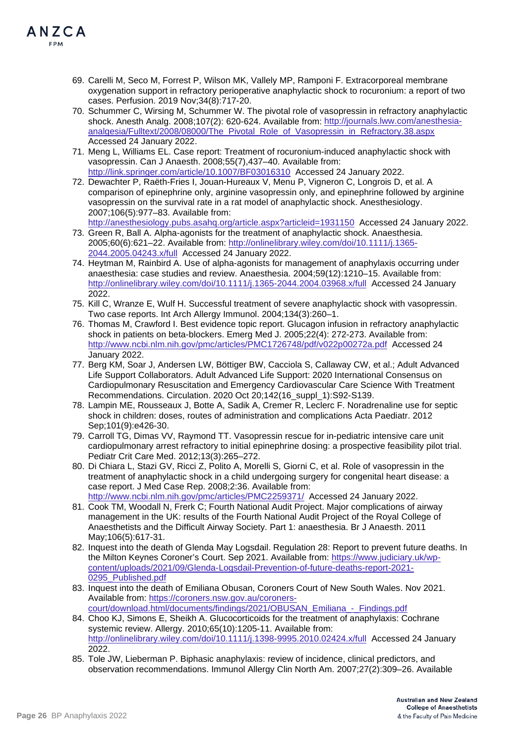

- 69. Carelli M, Seco M, Forrest P, Wilson MK, Vallely MP, Ramponi F. Extracorporeal membrane oxygenation support in refractory perioperative anaphylactic shock to rocuronium: a report of two cases. Perfusion. 2019 Nov;34(8):717-20.
- 70. Schummer C, Wirsing M, Schummer W. The pivotal role of vasopressin in refractory anaphylactic shock. Anesth Analg. 2008;107(2): 620-624. Available from: [http://journals.lww.com/anesthesia](http://journals.lww.com/anesthesia-analgesia/Fulltext/2008/08000/The_Pivotal_Role_of_Vasopressin_in_Refractory.38.aspx)[analgesia/Fulltext/2008/08000/The\\_Pivotal\\_Role\\_of\\_Vasopressin\\_in\\_Refractory.38.aspx](http://journals.lww.com/anesthesia-analgesia/Fulltext/2008/08000/The_Pivotal_Role_of_Vasopressin_in_Refractory.38.aspx)  Accessed 24 January 2022.
- 71. Meng L, Williams EL. Case report: Treatment of rocuronium-induced anaphylactic shock with vasopressin. Can J Anaesth. 2008;55(7),437–40. Available from: <http://link.springer.com/article/10.1007/BF03016310> Accessed 24 January 2022.
- 72. Dewachter P, Raëth-Fries I, Jouan-Hureaux V, Menu P, Vigneron C, Longrois D, et al. A comparison of epinephrine only, arginine vasopressin only, and epinephrine followed by arginine vasopressin on the survival rate in a rat model of anaphylactic shock. Anesthesiology. 2007;106(5):977–83. Available from:

<http://anesthesiology.pubs.asahq.org/article.aspx?articleid=1931150> Accessed 24 January 2022.

- 73. Green R, Ball A. Alpha-agonists for the treatment of anaphylactic shock. Anaesthesia. 2005;60(6):621–22. Available from: [http://onlinelibrary.wiley.com/doi/10.1111/j.1365-](http://onlinelibrary.wiley.com/doi/10.1111/j.1365-2044.2005.04243.x/full) [2044.2005.04243.x/full](http://onlinelibrary.wiley.com/doi/10.1111/j.1365-2044.2005.04243.x/full) Accessed 24 January 2022.
- 74. Heytman M, Rainbird A. Use of alpha-agonists for management of anaphylaxis occurring under anaesthesia: case studies and review. Anaesthesia. 2004;59(12):1210–15. Available from: <http://onlinelibrary.wiley.com/doi/10.1111/j.1365-2044.2004.03968.x/full> Accessed 24 January 2022.
- 75. Kill C, Wranze E, Wulf H. Successful treatment of severe anaphylactic shock with vasopressin. Two case reports. Int Arch Allergy Immunol. 2004;134(3):260–1.
- 76. Thomas M, Crawford I. Best evidence topic report. Glucagon infusion in refractory anaphylactic shock in patients on beta-blockers. Emerg Med J. 2005;22(4): 272-273. Available from: <http://www.ncbi.nlm.nih.gov/pmc/articles/PMC1726748/pdf/v022p00272a.pdf> Accessed 24 January 2022.
- 77. Berg KM, Soar J, Andersen LW, Böttiger BW, Cacciola S, Callaway CW, et al.; Adult Advanced Life Support Collaborators. Adult Advanced Life Support: 2020 International Consensus on Cardiopulmonary Resuscitation and Emergency Cardiovascular Care Science With Treatment Recommendations. Circulation. 2020 Oct 20;142(16\_suppl\_1):S92-S139.
- 78. Lampin ME, Rousseaux J, Botte A, Sadik A, Cremer R, Leclerc F. Noradrenaline use for septic shock in children: doses, routes of administration and complications Acta Paediatr. 2012 Sep;101(9):e426-30.
- 79. Carroll TG, Dimas VV, Raymond TT. Vasopressin rescue for in-pediatric intensive care unit cardiopulmonary arrest refractory to initial epinephrine dosing: a prospective feasibility pilot trial. Pediatr Crit Care Med. 2012;13(3):265–272.
- 80. Di Chiara L, Stazi GV, Ricci Z, Polito A, Morelli S, Giorni C, et al. Role of vasopressin in the treatment of anaphylactic shock in a child undergoing surgery for congenital heart disease: a case report. J Med Case Rep. 2008;2:36. Available from: <http://www.ncbi.nlm.nih.gov/pmc/articles/PMC2259371/> Accessed 24 January 2022.
- 81. Cook TM, Woodall N, Frerk C; Fourth National Audit Project. Major complications of airway management in the UK: results of the Fourth National Audit Project of the Royal College of Anaesthetists and the Difficult Airway Society. Part 1: anaesthesia. Br J Anaesth. 2011 May;106(5):617-31.
- 82. Inquest into the death of Glenda May Logsdail. Regulation 28: Report to prevent future deaths. In the Milton Keynes Coroner's Court. Sep 2021. Available from: [https://www.judiciary.uk/wp](https://www.judiciary.uk/wp-content/uploads/2021/09/Glenda-Logsdail-Prevention-of-future-deaths-report-2021-0295_Published.pdf)[content/uploads/2021/09/Glenda-Logsdail-Prevention-of-future-deaths-report-2021-](https://www.judiciary.uk/wp-content/uploads/2021/09/Glenda-Logsdail-Prevention-of-future-deaths-report-2021-0295_Published.pdf) 0295 Published.pdf
- 83. Inquest into the death of Emiliana Obusan, Coroners Court of New South Wales. Nov 2021. Available from: [https://coroners.nsw.gov.au/coroners](https://coroners.nsw.gov.au/coroners-court/download.html/documents/findings/2021/OBUSAN_Emiliana_-_Findings.pdf)[court/download.html/documents/findings/2021/OBUSAN\\_Emiliana\\_-\\_Findings.pdf](https://coroners.nsw.gov.au/coroners-court/download.html/documents/findings/2021/OBUSAN_Emiliana_-_Findings.pdf)
- 84. Choo KJ, Simons E, Sheikh A. Glucocorticoids for the treatment of anaphylaxis: Cochrane systemic review. Allergy. 2010;65(10):1205-11. Available from: <http://onlinelibrary.wiley.com/doi/10.1111/j.1398-9995.2010.02424.x/full> Accessed 24 January 2022.
- 85. Tole JW, Lieberman P. Biphasic anaphylaxis: review of incidence, clinical predictors, and observation recommendations. Immunol Allergy Clin North Am. 2007;27(2):309–26. Available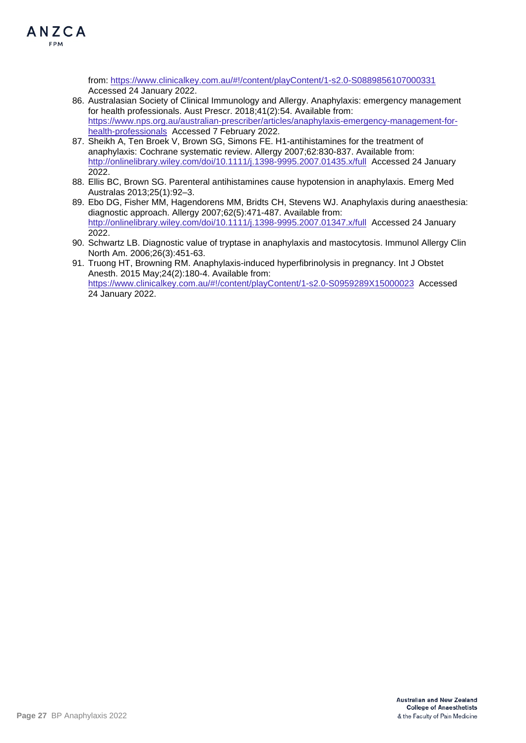

from:<https://www.clinicalkey.com.au/#!/content/playContent/1-s2.0-S0889856107000331> Accessed 24 January 2022.

- 86. Australasian Society of Clinical Immunology and Allergy. Anaphylaxis: emergency management for health professionals. Aust Prescr. 2018;41(2):54. Available from: [https://www.nps.org.au/australian-prescriber/articles/anaphylaxis-emergency-management-for](https://www.nps.org.au/australian-prescriber/articles/anaphylaxis-emergency-management-for-health-professionals)[health-professionals](https://www.nps.org.au/australian-prescriber/articles/anaphylaxis-emergency-management-for-health-professionals) Accessed 7 February 2022.
- 87. Sheikh A, Ten Broek V, Brown SG, Simons FE. H1-antihistamines for the treatment of anaphylaxis: Cochrane systematic review. Allergy 2007;62:830-837. Available from: <http://onlinelibrary.wiley.com/doi/10.1111/j.1398-9995.2007.01435.x/full> Accessed 24 January 2022.
- 88. Ellis BC, Brown SG. Parenteral antihistamines cause hypotension in anaphylaxis. Emerg Med Australas 2013;25(1):92–3.
- 89. Ebo DG, Fisher MM, Hagendorens MM, Bridts CH, Stevens WJ. Anaphylaxis during anaesthesia: diagnostic approach. Allergy 2007;62(5):471-487. Available from: <http://onlinelibrary.wiley.com/doi/10.1111/j.1398-9995.2007.01347.x/full> Accessed 24 January 2022.
- 90. Schwartz LB. Diagnostic value of tryptase in anaphylaxis and mastocytosis. Immunol Allergy Clin North Am. 2006;26(3):451-63.
- 91. Truong HT, Browning RM. Anaphylaxis-induced hyperfibrinolysis in pregnancy. Int J Obstet Anesth. 2015 May;24(2):180-4. Available from: <https://www.clinicalkey.com.au/#!/content/playContent/1-s2.0-S0959289X15000023> Accessed 24 January 2022.